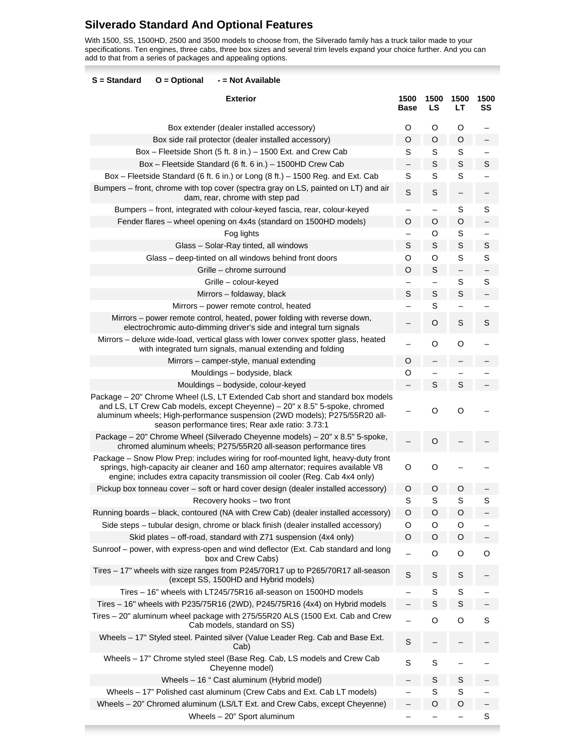# **Silverado Standard And Optional Features**

I

With 1500, SS, 1500HD, 2500 and 3500 models to choose from, the Silverado family has a truck tailor made to your specifications. Ten engines, three cabs, three box sizes and several trim levels expand your choice further. And you can add to that from a series of packages and appealing options.

| S = Standard<br>$O = Optional$<br>- = Not Available                                                                                                                                                                                                                                            |                     |             |             |            |
|------------------------------------------------------------------------------------------------------------------------------------------------------------------------------------------------------------------------------------------------------------------------------------------------|---------------------|-------------|-------------|------------|
| <b>Exterior</b>                                                                                                                                                                                                                                                                                | 1500<br><b>Base</b> | 1500<br>LS  | 1500<br>LТ  | 1500<br>SS |
| Box extender (dealer installed accessory)                                                                                                                                                                                                                                                      | O                   | O           | O           |            |
| Box side rail protector (dealer installed accessory)                                                                                                                                                                                                                                           | O                   | O           | O           |            |
| Box - Fleetside Short (5 ft. 8 in.) - 1500 Ext. and Crew Cab                                                                                                                                                                                                                                   | S                   | S           | S           |            |
| Box - Fleetside Standard (6 ft. 6 in.) - 1500HD Crew Cab                                                                                                                                                                                                                                       |                     | S           | $\mathbb S$ | S          |
| Box - Fleetside Standard (6 ft. 6 in.) or Long (8 ft.) - 1500 Reg. and Ext. Cab                                                                                                                                                                                                                | S                   | S           | $\mathsf S$ |            |
| Bumpers – front, chrome with top cover (spectra gray on LS, painted on LT) and air<br>dam, rear, chrome with step pad                                                                                                                                                                          | S                   | S           |             |            |
| Bumpers - front, integrated with colour-keyed fascia, rear, colour-keyed                                                                                                                                                                                                                       |                     |             | S           | S          |
| Fender flares - wheel opening on 4x4s (standard on 1500HD models)                                                                                                                                                                                                                              | $\circ$             | O           | $\circ$     |            |
| Fog lights                                                                                                                                                                                                                                                                                     |                     | O           | S           |            |
| Glass - Solar-Ray tinted, all windows                                                                                                                                                                                                                                                          | S                   | S           | S           | S          |
| Glass - deep-tinted on all windows behind front doors                                                                                                                                                                                                                                          | O                   | O           | S           | S          |
| Grille - chrome surround                                                                                                                                                                                                                                                                       | O                   | S           | —           |            |
| Grille - colour-keyed                                                                                                                                                                                                                                                                          |                     |             | S           | S          |
| Mirrors - foldaway, black                                                                                                                                                                                                                                                                      | S                   | $\mathbb S$ | $\mathbb S$ |            |
| Mirrors - power remote control, heated                                                                                                                                                                                                                                                         |                     | S           |             |            |
| Mirrors – power remote control, heated, power folding with reverse down,<br>electrochromic auto-dimming driver's side and integral turn signals                                                                                                                                                |                     | O           | S           | S          |
| Mirrors - deluxe wide-load, vertical glass with lower convex spotter glass, heated<br>with integrated turn signals, manual extending and folding                                                                                                                                               |                     | O           | O           |            |
| Mirrors - camper-style, manual extending                                                                                                                                                                                                                                                       | O                   |             |             |            |
| Mouldings - bodyside, black                                                                                                                                                                                                                                                                    | O                   |             |             |            |
| Mouldings - bodyside, colour-keyed                                                                                                                                                                                                                                                             |                     | S           | S           |            |
| Package - 20" Chrome Wheel (LS, LT Extended Cab short and standard box models<br>and LS, LT Crew Cab models, except Cheyenne) - 20" x 8.5" 5-spoke, chromed<br>aluminum wheels; High-performance suspension (2WD models); P275/55R20 all-<br>season performance tires; Rear axle ratio: 3.73:1 |                     | O           | O           |            |
| Package - 20" Chrome Wheel (Silverado Cheyenne models) - 20" x 8.5" 5-spoke,<br>chromed aluminum wheels; P275/55R20 all-season performance tires                                                                                                                                               |                     | O           |             |            |
| Package - Snow Plow Prep: includes wiring for roof-mounted light, heavy-duty front<br>springs, high-capacity air cleaner and 160 amp alternator; requires available V8<br>engine; includes extra capacity transmission oil cooler (Reg. Cab 4x4 only)                                          | O                   | O           |             |            |
| Pickup box tonneau cover – soft or hard cover design (dealer installed accessory)                                                                                                                                                                                                              | O                   | O           | O           |            |
| Recovery hooks - two front                                                                                                                                                                                                                                                                     | S                   | S           | S           | S          |
| Running boards – black, contoured (NA with Crew Cab) (dealer installed accessory)                                                                                                                                                                                                              | O                   | O           | O           |            |
| Side steps - tubular design, chrome or black finish (dealer installed accessory)                                                                                                                                                                                                               | O                   | O           | O           |            |
| Skid plates – off-road, standard with Z71 suspension (4x4 only)                                                                                                                                                                                                                                | O                   | O           | O           |            |
| Sunroof - power, with express-open and wind deflector (Ext. Cab standard and long<br>box and Crew Cabs)                                                                                                                                                                                        |                     | O           | O           | O          |
| Tires - 17" wheels with size ranges from P245/70R17 up to P265/70R17 all-season<br>(except SS, 1500HD and Hybrid models)                                                                                                                                                                       | $\mathsf S$         | $\mathbb S$ | S           |            |
| Tires - 16" wheels with LT245/75R16 all-season on 1500HD models                                                                                                                                                                                                                                |                     | S           | S           |            |
| Tires - 16" wheels with P235/75R16 (2WD), P245/75R16 (4x4) on Hybrid models                                                                                                                                                                                                                    |                     | S           | S           |            |
| Tires - 20" aluminum wheel package with 275/55R20 ALS (1500 Ext. Cab and Crew<br>Cab models, standard on SS)                                                                                                                                                                                   |                     | O           | O           | S          |
| Wheels - 17" Styled steel. Painted silver (Value Leader Reg. Cab and Base Ext.<br>Cab)                                                                                                                                                                                                         | $\mathbb S$         |             |             |            |
| Wheels - 17" Chrome styled steel (Base Reg. Cab, LS models and Crew Cab<br>Cheyenne model)                                                                                                                                                                                                     | S                   | $\mathbb S$ |             |            |
| Wheels - 16 " Cast aluminum (Hybrid model)                                                                                                                                                                                                                                                     |                     | S           | S           |            |
| Wheels - 17" Polished cast aluminum (Crew Cabs and Ext. Cab LT models)                                                                                                                                                                                                                         |                     | S           | S           |            |
| Wheels - 20" Chromed aluminum (LS/LT Ext. and Crew Cabs, except Cheyenne)                                                                                                                                                                                                                      |                     | O           | O           |            |
| Wheels - 20" Sport aluminum                                                                                                                                                                                                                                                                    |                     |             |             | S          |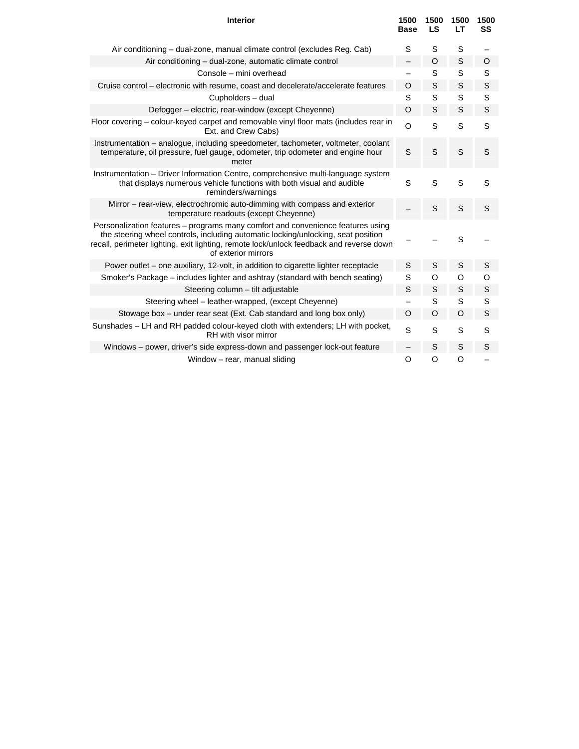| <b>Interior</b>                                                                                                                                                                                                                                                                        | 1500<br><b>Base</b> | 1500<br><b>LS</b> | 1500<br>LТ  | 1500<br>SS |
|----------------------------------------------------------------------------------------------------------------------------------------------------------------------------------------------------------------------------------------------------------------------------------------|---------------------|-------------------|-------------|------------|
| Air conditioning - dual-zone, manual climate control (excludes Reg. Cab)                                                                                                                                                                                                               | S                   | S                 | S           |            |
| Air conditioning - dual-zone, automatic climate control                                                                                                                                                                                                                                |                     | O                 | $\mathbb S$ | O          |
| Console - mini overhead                                                                                                                                                                                                                                                                |                     | S                 | S           | S          |
| Cruise control – electronic with resume, coast and decelerate/accelerate features                                                                                                                                                                                                      | O                   | S                 | S           | S          |
| Cupholders - dual                                                                                                                                                                                                                                                                      | S                   | S                 | S           | S          |
| Defogger - electric, rear-window (except Cheyenne)                                                                                                                                                                                                                                     | $\circ$             | S                 | S           | S          |
| Floor covering – colour-keyed carpet and removable vinyl floor mats (includes rear in<br>Ext. and Crew Cabs)                                                                                                                                                                           | $\circ$             | S                 | S           | S          |
| Instrumentation - analogue, including speedometer, tachometer, voltmeter, coolant<br>temperature, oil pressure, fuel gauge, odometer, trip odometer and engine hour<br>meter                                                                                                           | S                   | S                 | S           | S          |
| Instrumentation - Driver Information Centre, comprehensive multi-language system<br>that displays numerous vehicle functions with both visual and audible<br>reminders/warnings                                                                                                        | S                   | S                 | S           | S          |
| Mirror – rear-view, electrochromic auto-dimming with compass and exterior<br>temperature readouts (except Cheyenne)                                                                                                                                                                    |                     | S                 | S           | S          |
| Personalization features - programs many comfort and convenience features using<br>the steering wheel controls, including automatic locking/unlocking, seat position<br>recall, perimeter lighting, exit lighting, remote lock/unlock feedback and reverse down<br>of exterior mirrors |                     |                   | S           |            |
| Power outlet – one auxiliary, 12-volt, in addition to cigarette lighter receptacle                                                                                                                                                                                                     | S                   | S                 | $\mathbb S$ | S          |
| Smoker's Package – includes lighter and ashtray (standard with bench seating)                                                                                                                                                                                                          | S                   | O                 | O           | O          |
| Steering column - tilt adjustable                                                                                                                                                                                                                                                      | S                   | S                 | S           | S          |
| Steering wheel – leather-wrapped, (except Cheyenne)                                                                                                                                                                                                                                    |                     | S                 | S           | S          |
| Stowage box - under rear seat (Ext. Cab standard and long box only)                                                                                                                                                                                                                    | O                   | O                 | $\circ$     | S          |
| Sunshades - LH and RH padded colour-keyed cloth with extenders; LH with pocket,<br>RH with visor mirror                                                                                                                                                                                | S                   | S                 | S           | S          |
| Windows – power, driver's side express-down and passenger lock-out feature                                                                                                                                                                                                             |                     | S                 | S           | S          |
| Window - rear, manual sliding                                                                                                                                                                                                                                                          | $\circ$             | O                 | O           |            |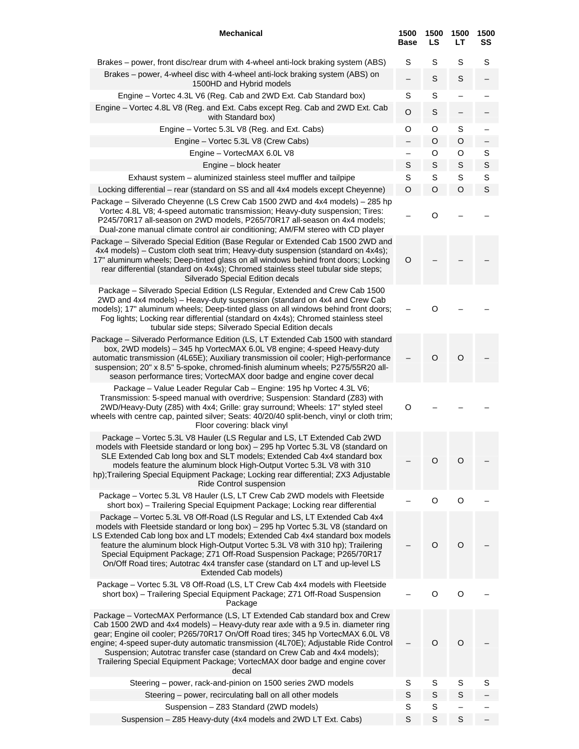| <b>Mechanical</b>                                                                                                                                                                                                                                                                                                                                                                                                                                                                                                  | 1500<br><b>Base</b>      | 1500<br>LS  | 1500<br>LТ  | 1500<br>SS |
|--------------------------------------------------------------------------------------------------------------------------------------------------------------------------------------------------------------------------------------------------------------------------------------------------------------------------------------------------------------------------------------------------------------------------------------------------------------------------------------------------------------------|--------------------------|-------------|-------------|------------|
| Brakes – power, front disc/rear drum with 4-wheel anti-lock braking system (ABS)<br>Brakes – power, 4-wheel disc with 4-wheel anti-lock braking system (ABS) on<br>1500HD and Hybrid models                                                                                                                                                                                                                                                                                                                        | S                        | S<br>S      | S<br>S      | S          |
| Engine - Vortec 4.3L V6 (Reg. Cab and 2WD Ext. Cab Standard box)                                                                                                                                                                                                                                                                                                                                                                                                                                                   | S                        | S           |             |            |
| Engine - Vortec 4.8L V8 (Reg. and Ext. Cabs except Reg. Cab and 2WD Ext. Cab<br>with Standard box)                                                                                                                                                                                                                                                                                                                                                                                                                 | O                        | S           |             |            |
| Engine - Vortec 5.3L V8 (Reg. and Ext. Cabs)                                                                                                                                                                                                                                                                                                                                                                                                                                                                       | O                        | O           | S           |            |
| Engine - Vortec 5.3L V8 (Crew Cabs)                                                                                                                                                                                                                                                                                                                                                                                                                                                                                |                          | O           | O           |            |
| Engine - VortecMAX 6.0L V8                                                                                                                                                                                                                                                                                                                                                                                                                                                                                         | $\overline{\phantom{0}}$ | O           | O           | S          |
| Engine - block heater                                                                                                                                                                                                                                                                                                                                                                                                                                                                                              | S                        | S           | S           | S          |
| Exhaust system - aluminized stainless steel muffler and tailpipe                                                                                                                                                                                                                                                                                                                                                                                                                                                   | S                        | S           | S           | S          |
| Locking differential - rear (standard on SS and all 4x4 models except Cheyenne)                                                                                                                                                                                                                                                                                                                                                                                                                                    | O                        | O           | O           | S          |
| Package – Silverado Cheyenne (LS Crew Cab 1500 2WD and 4x4 models) – 285 hp<br>Vortec 4.8L V8; 4-speed automatic transmission; Heavy-duty suspension; Tires:<br>P245/70R17 all-season on 2WD models, P265/70R17 all-season on 4x4 models;<br>Dual-zone manual climate control air conditioning; AM/FM stereo with CD player                                                                                                                                                                                        |                          | O           |             |            |
| Package - Silverado Special Edition (Base Regular or Extended Cab 1500 2WD and<br>4x4 models) – Custom cloth seat trim; Heavy-duty suspension (standard on 4x4s);<br>17" aluminum wheels; Deep-tinted glass on all windows behind front doors; Locking<br>rear differential (standard on 4x4s); Chromed stainless steel tubular side steps;<br>Silverado Special Edition decals                                                                                                                                    | $\circ$                  |             |             |            |
| Package - Silverado Special Edition (LS Regular, Extended and Crew Cab 1500<br>2WD and 4x4 models) - Heavy-duty suspension (standard on 4x4 and Crew Cab<br>models); 17" aluminum wheels; Deep-tinted glass on all windows behind front doors;<br>Fog lights; Locking rear differential (standard on 4x4s); Chromed stainless steel<br>tubular side steps; Silverado Special Edition decals                                                                                                                        |                          | O           |             |            |
| Package - Silverado Performance Edition (LS, LT Extended Cab 1500 with standard<br>box, 2WD models) - 345 hp VortecMAX 6.0L V8 engine; 4-speed Heavy-duty<br>automatic transmission (4L65E); Auxiliary transmission oil cooler; High-performance<br>suspension; 20" x 8.5" 5-spoke, chromed-finish aluminum wheels; P275/55R20 all-<br>season performance tires; VortecMAX door badge and engine cover decal                                                                                                       |                          | $\circ$     | $\circ$     |            |
| Package - Value Leader Regular Cab - Engine: 195 hp Vortec 4.3L V6;<br>Transmission: 5-speed manual with overdrive; Suspension: Standard (Z83) with<br>2WD/Heavy-Duty (Z85) with 4x4; Grille: gray surround; Wheels: 17" styled steel<br>wheels with centre cap, painted silver; Seats: 40/20/40 split-bench, vinyl or cloth trim;<br>Floor covering: black vinyl                                                                                                                                                  | O                        |             |             |            |
| Package - Vortec 5.3L V8 Hauler (LS Regular and LS, LT Extended Cab 2WD<br>models with Fleetside standard or long box) - 295 hp Vortec 5.3L V8 (standard on<br>SLE Extended Cab long box and SLT models; Extended Cab 4x4 standard box<br>models feature the aluminum block High-Output Vortec 5.3L V8 with 310<br>hp); Trailering Special Equipment Package; Locking rear differential; ZX3 Adjustable<br>Ride Control suspension                                                                                 |                          | O           | O           |            |
| Package - Vortec 5.3L V8 Hauler (LS, LT Crew Cab 2WD models with Fleetside<br>short box) - Trailering Special Equipment Package; Locking rear differential                                                                                                                                                                                                                                                                                                                                                         |                          | $\circ$     | O           |            |
| Package - Vortec 5.3L V8 Off-Road (LS Regular and LS, LT Extended Cab 4x4<br>models with Fleetside standard or long box) - 295 hp Vortec 5.3L V8 (standard on<br>LS Extended Cab long box and LT models; Extended Cab 4x4 standard box models<br>feature the aluminum block High-Output Vortec 5.3L V8 with 310 hp); Trailering<br>Special Equipment Package; Z71 Off-Road Suspension Package; P265/70R17<br>On/Off Road tires; Autotrac 4x4 transfer case (standard on LT and up-level LS<br>Extended Cab models) |                          | O           | $\circ$     |            |
| Package - Vortec 5.3L V8 Off-Road (LS, LT Crew Cab 4x4 models with Fleetside<br>short box) - Trailering Special Equipment Package; Z71 Off-Road Suspension<br>Package                                                                                                                                                                                                                                                                                                                                              |                          | O           | O           |            |
| Package – VortecMAX Performance (LS, LT Extended Cab standard box and Crew<br>Cab 1500 2WD and 4x4 models) – Heavy-duty rear axle with a 9.5 in. diameter ring<br>gear; Engine oil cooler; P265/70R17 On/Off Road tires; 345 hp VortecMAX 6.0L V8<br>engine; 4-speed super-duty automatic transmission (4L70E); Adjustable Ride Control<br>Suspension; Autotrac transfer case (standard on Crew Cab and 4x4 models);<br>Trailering Special Equipment Package; VortecMAX door badge and engine cover<br>decal       |                          | O           | O           |            |
| Steering – power, rack-and-pinion on 1500 series 2WD models                                                                                                                                                                                                                                                                                                                                                                                                                                                        | S                        | S           | S           | S          |
| Steering - power, recirculating ball on all other models                                                                                                                                                                                                                                                                                                                                                                                                                                                           | S                        | $\mathbb S$ | S           |            |
| Suspension - Z83 Standard (2WD models)                                                                                                                                                                                                                                                                                                                                                                                                                                                                             | S                        | S           |             |            |
| Suspension - Z85 Heavy-duty (4x4 models and 2WD LT Ext. Cabs)                                                                                                                                                                                                                                                                                                                                                                                                                                                      | $\mathbb S$              | $\mathbb S$ | $\mathbb S$ |            |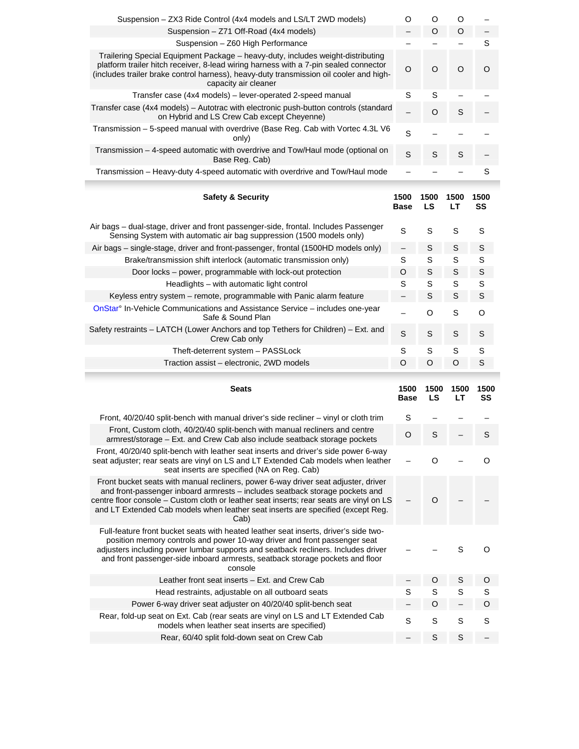| Suspension - ZX3 Ride Control (4x4 models and LS/LT 2WD models)<br>Suspension - Z71 Off-Road (4x4 models)                                                                                                                                                                                                                                                |                          |             |             |             |
|----------------------------------------------------------------------------------------------------------------------------------------------------------------------------------------------------------------------------------------------------------------------------------------------------------------------------------------------------------|--------------------------|-------------|-------------|-------------|
|                                                                                                                                                                                                                                                                                                                                                          | O                        | O           | O           |             |
|                                                                                                                                                                                                                                                                                                                                                          | $\overline{\phantom{0}}$ | $\circ$     | $\circ$     |             |
| Suspension - Z60 High Performance                                                                                                                                                                                                                                                                                                                        |                          |             |             | $\mathbb S$ |
| Trailering Special Equipment Package - heavy-duty, includes weight-distributing                                                                                                                                                                                                                                                                          |                          |             |             |             |
| platform trailer hitch receiver, 8-lead wiring harness with a 7-pin sealed connector<br>(includes trailer brake control harness), heavy-duty transmission oil cooler and high-<br>capacity air cleaner                                                                                                                                                   | $\circ$                  | $\circ$     | $\circ$     | O           |
| Transfer case (4x4 models) – lever-operated 2-speed manual                                                                                                                                                                                                                                                                                               | $\mathbb S$              | S           |             |             |
| Transfer case (4x4 models) - Autotrac with electronic push-button controls (standard<br>on Hybrid and LS Crew Cab except Cheyenne)                                                                                                                                                                                                                       |                          | $\circ$     | S           |             |
| Transmission - 5-speed manual with overdrive (Base Reg. Cab with Vortec 4.3L V6<br>only)                                                                                                                                                                                                                                                                 | S                        |             |             |             |
| Transmission - 4-speed automatic with overdrive and Tow/Haul mode (optional on<br>Base Reg. Cab)                                                                                                                                                                                                                                                         | S                        | S           | S           |             |
| Transmission - Heavy-duty 4-speed automatic with overdrive and Tow/Haul mode                                                                                                                                                                                                                                                                             |                          |             |             | S           |
| <b>Safety &amp; Security</b>                                                                                                                                                                                                                                                                                                                             | 1500                     | 1500        | 1500        | 1500        |
|                                                                                                                                                                                                                                                                                                                                                          | <b>Base</b>              | LS          | LT          | SS          |
| Air bags - dual-stage, driver and front passenger-side, frontal. Includes Passenger<br>Sensing System with automatic air bag suppression (1500 models only)                                                                                                                                                                                              | S                        | S           | $\mathbb S$ | $\mathbb S$ |
| Air bags – single-stage, driver and front-passenger, frontal (1500HD models only)                                                                                                                                                                                                                                                                        | $\qquad \qquad -$        | $\mathbb S$ | $\mathbb S$ | S           |
| Brake/transmission shift interlock (automatic transmission only)                                                                                                                                                                                                                                                                                         | S                        | S           | S           | S           |
| Door locks - power, programmable with lock-out protection                                                                                                                                                                                                                                                                                                | O                        | S           | S           | S           |
| Headlights - with automatic light control                                                                                                                                                                                                                                                                                                                | S                        | S           | S           | S           |
| Keyless entry system – remote, programmable with Panic alarm feature                                                                                                                                                                                                                                                                                     |                          | $\mathbb S$ | S           | S           |
| OnStar <sup>o</sup> In-Vehicle Communications and Assistance Service – includes one-year<br>Safe & Sound Plan                                                                                                                                                                                                                                            |                          | $\circ$     | $\mathbf S$ | O           |
| Safety restraints - LATCH (Lower Anchors and top Tethers for Children) - Ext. and<br>Crew Cab only                                                                                                                                                                                                                                                       | S                        | S           | S           | S           |
| Theft-deterrent system - PASSLock                                                                                                                                                                                                                                                                                                                        | S                        | S           | $\mathbb S$ | S           |
| Traction assist - electronic, 2WD models                                                                                                                                                                                                                                                                                                                 | O                        | $\circ$     | O           | S           |
|                                                                                                                                                                                                                                                                                                                                                          |                          |             |             |             |
| <b>Seats</b>                                                                                                                                                                                                                                                                                                                                             | 1500<br><b>Base</b>      | 1500<br>LS  | 1500<br>LT  | 1500<br>SS  |
| Front, 40/20/40 split-bench with manual driver's side recliner – vinyl or cloth trim                                                                                                                                                                                                                                                                     | S                        |             |             |             |
| Front, Custom cloth, 40/20/40 split-bench with manual recliners and centre<br>armrest/storage - Ext. and Crew Cab also include seatback storage pockets                                                                                                                                                                                                  | O                        | S           |             | S           |
| Front, 40/20/40 split-bench with leather seat inserts and driver's side power 6-way<br>seat adjuster; rear seats are vinyl on LS and LT Extended Cab models when leather<br>seat inserts are specified (NA on Reg. Cab)                                                                                                                                  |                          | O           |             | O           |
| Front bucket seats with manual recliners, power 6-way driver seat adjuster, driver<br>and front-passenger inboard armrests - includes seatback storage pockets and<br>centre floor console - Custom cloth or leather seat inserts; rear seats are vinyl on LS<br>and LT Extended Cab models when leather seat inserts are specified (except Reg.<br>Cab) |                          | $\circ$     |             |             |
| Full-feature front bucket seats with heated leather seat inserts, driver's side two-<br>position memory controls and power 10-way driver and front passenger seat<br>adjusters including power lumbar supports and seatback recliners. Includes driver<br>and front passenger-side inboard armrests, seatback storage pockets and floor<br>console       |                          |             | S           | O           |
| Leather front seat inserts - Ext. and Crew Cab                                                                                                                                                                                                                                                                                                           |                          | O           | S           | O           |
| Head restraints, adjustable on all outboard seats                                                                                                                                                                                                                                                                                                        | S                        | S           | S           | S           |
| Power 6-way driver seat adjuster on 40/20/40 split-bench seat                                                                                                                                                                                                                                                                                            |                          | O           |             | O           |
| Rear, fold-up seat on Ext. Cab (rear seats are vinyl on LS and LT Extended Cab<br>models when leather seat inserts are specified)                                                                                                                                                                                                                        | $\mathsf S$              | S           | S           | S           |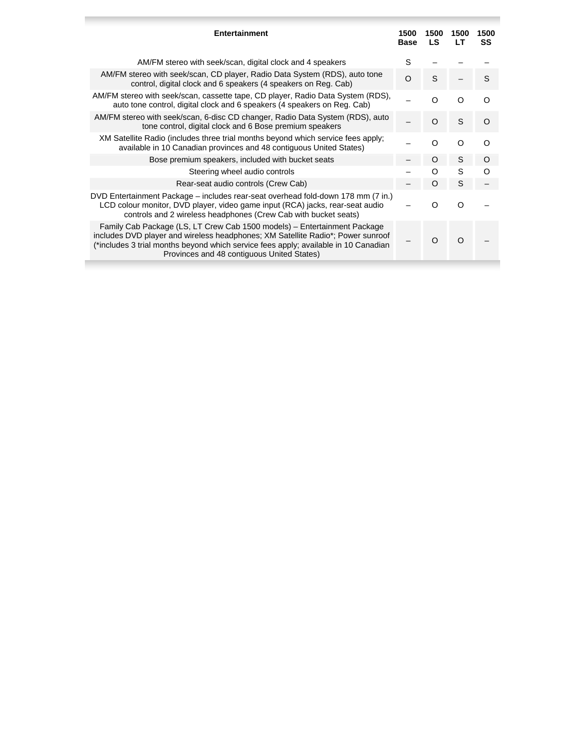| Entertainment                                                                                                                                                                                                                                                                                    | 1500<br><b>Base</b> | 1500<br><b>LS</b> | 1500<br>LT | 1500<br><b>SS</b> |
|--------------------------------------------------------------------------------------------------------------------------------------------------------------------------------------------------------------------------------------------------------------------------------------------------|---------------------|-------------------|------------|-------------------|
| AM/FM stereo with seek/scan, digital clock and 4 speakers                                                                                                                                                                                                                                        | S                   |                   |            |                   |
| AM/FM stereo with seek/scan, CD player, Radio Data System (RDS), auto tone<br>control, digital clock and 6 speakers (4 speakers on Reg. Cab)                                                                                                                                                     | $\Omega$            | S.                |            | S                 |
| AM/FM stereo with seek/scan, cassette tape, CD player, Radio Data System (RDS),<br>auto tone control, digital clock and 6 speakers (4 speakers on Reg. Cab)                                                                                                                                      |                     | ∩                 | റ          |                   |
| AM/FM stereo with seek/scan, 6-disc CD changer, Radio Data System (RDS), auto<br>tone control, digital clock and 6 Bose premium speakers                                                                                                                                                         |                     | O                 | S          | O                 |
| XM Satellite Radio (includes three trial months beyond which service fees apply;<br>available in 10 Canadian provinces and 48 contiguous United States)                                                                                                                                          |                     | O                 | Ω          | റ                 |
| Bose premium speakers, included with bucket seats                                                                                                                                                                                                                                                |                     | O                 | S          | O                 |
| Steering wheel audio controls                                                                                                                                                                                                                                                                    |                     | O                 | S          | ∩                 |
| Rear-seat audio controls (Crew Cab)                                                                                                                                                                                                                                                              |                     | $\Omega$          | S          |                   |
| DVD Entertainment Package – includes rear-seat overhead fold-down 178 mm (7 in.)<br>LCD colour monitor, DVD player, video game input (RCA) jacks, rear-seat audio<br>controls and 2 wireless headphones (Crew Cab with bucket seats)                                                             |                     | Ω                 | ∩          |                   |
| Family Cab Package (LS, LT Crew Cab 1500 models) – Entertainment Package<br>includes DVD player and wireless headphones; XM Satellite Radio*; Power sunroof<br>(*includes 3 trial months beyond which service fees apply; available in 10 Canadian<br>Provinces and 48 contiguous United States) |                     | O                 | ∩          |                   |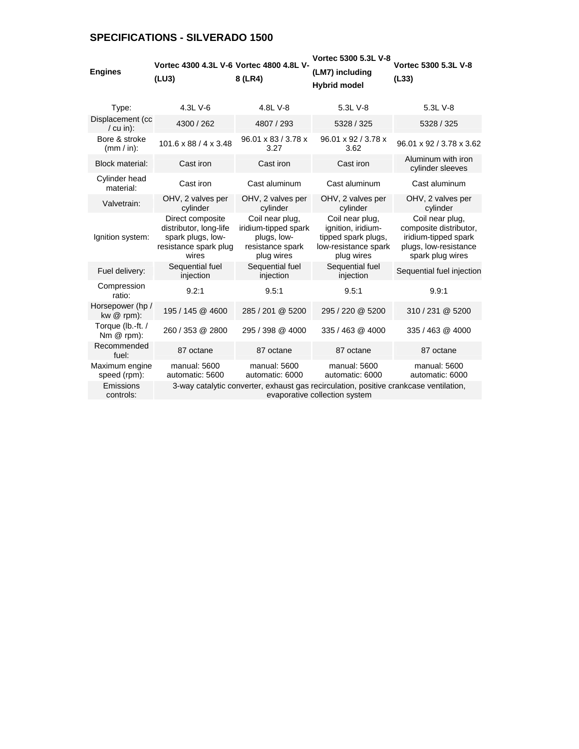# **SPECIFICATIONS - SILVERADO 1500**

| <b>Engines</b>                   | Vortec 4300 4.3L V-6 Vortec 4800 4.8L V-<br>(LU3)                                                 | 8 (LR4)                                                                                  | Vortec 5300 5.3L V-8<br>(LM7) including<br><b>Hybrid model</b>                                                         | Vortec 5300 5.3L V-8<br>(L33)                                                                                  |
|----------------------------------|---------------------------------------------------------------------------------------------------|------------------------------------------------------------------------------------------|------------------------------------------------------------------------------------------------------------------------|----------------------------------------------------------------------------------------------------------------|
| Type:                            | 4.3L V-6                                                                                          | 4.8L V-8                                                                                 | 5.3L V-8                                                                                                               | 5.3L V-8                                                                                                       |
| Displacement (cc<br>$/$ cu in):  | 4300 / 262                                                                                        | 4807 / 293                                                                               | 5328 / 325                                                                                                             | 5328 / 325                                                                                                     |
| Bore & stroke<br>$(mm / in)$ :   | 101.6 x 88 / 4 x 3.48                                                                             | 96.01 x 83 / 3.78 x<br>3.27                                                              | 96.01 x 92 / 3.78 x<br>3.62                                                                                            | 96.01 x 92 / 3.78 x 3.62                                                                                       |
| <b>Block material:</b>           | Cast iron                                                                                         | Cast iron                                                                                | Cast iron                                                                                                              | Aluminum with iron<br>cylinder sleeves                                                                         |
| Cylinder head<br>material:       | Cast iron                                                                                         | Cast aluminum                                                                            | Cast aluminum                                                                                                          | Cast aluminum                                                                                                  |
| Valvetrain:                      | OHV, 2 valves per<br>cylinder                                                                     | OHV, 2 valves per<br>cylinder                                                            | OHV, 2 valves per<br>cylinder                                                                                          | OHV, 2 valves per<br>cylinder                                                                                  |
| Ignition system:                 | Direct composite<br>distributor, long-life<br>spark plugs, low-<br>resistance spark plug<br>wires | Coil near plug,<br>iridium-tipped spark<br>plugs, low-<br>resistance spark<br>plug wires | Coil near plug,<br>ignition, iridium-<br>tipped spark plugs,<br>low-resistance spark<br>plug wires                     | Coil near plug.<br>composite distributor,<br>iridium-tipped spark<br>plugs, low-resistance<br>spark plug wires |
| Fuel delivery:                   | Sequential fuel<br>injection                                                                      | Sequential fuel<br>injection                                                             | Sequential fuel<br>injection                                                                                           | Sequential fuel injection                                                                                      |
| Compression<br>ratio:            | 9.2:1                                                                                             | 9.5:1                                                                                    | 9.5:1                                                                                                                  | 9.9:1                                                                                                          |
| Horsepower (hp /<br>kw $@$ rpm): | 195 / 145 @ 4600                                                                                  | 285 / 201 @ 5200                                                                         | 295 / 220 @ 5200                                                                                                       | 310 / 231 @ 5200                                                                                               |
| Torque (lb.-ft. /<br>Nm @ rpm):  | 260 / 353 @ 2800                                                                                  | 295 / 398 @ 4000                                                                         | 335 / 463 @ 4000                                                                                                       | 335 / 463 @ 4000                                                                                               |
| Recommended<br>fuel:             | 87 octane                                                                                         | 87 octane                                                                                | 87 octane                                                                                                              | 87 octane                                                                                                      |
| Maximum engine<br>speed (rpm):   | manual: 5600<br>automatic: 5600                                                                   | manual: 5600<br>automatic: 6000                                                          | manual: 5600<br>automatic: 6000                                                                                        | manual: 5600<br>automatic: 6000                                                                                |
| Emissions<br>controls:           |                                                                                                   |                                                                                          | 3-way catalytic converter, exhaust gas recirculation, positive crankcase ventilation,<br>evaporative collection system |                                                                                                                |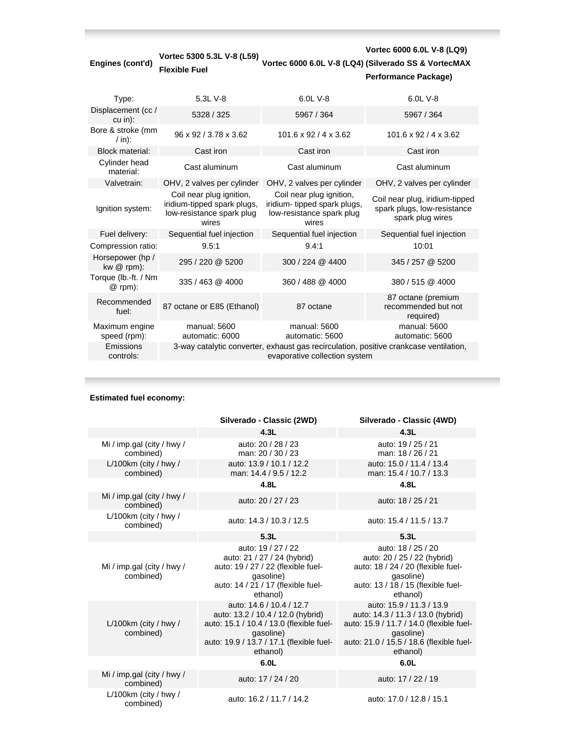| Engines (cont'd)                    | Vortec 5300 5.3L V-8 (L59)<br><b>Flexible Fuel</b>                                            |                                                                                                                        | Vortec 6000 6.0L V-8 (LQ9)<br>Vortec 6000 6.0L V-8 (LQ4) (Silverado SS & VortecMAX<br>Performance Package) |
|-------------------------------------|-----------------------------------------------------------------------------------------------|------------------------------------------------------------------------------------------------------------------------|------------------------------------------------------------------------------------------------------------|
| Type:                               | 5.3L V-8                                                                                      | 6.0L V-8                                                                                                               | 6.0L V-8                                                                                                   |
| Displacement (cc /<br>$cu$ in):     | 5328 / 325                                                                                    | 5967 / 364                                                                                                             | 5967 / 364                                                                                                 |
| Bore & stroke (mm<br>$/$ in):       | 96 x 92 / 3.78 x 3.62                                                                         | $101.6 \times 92 / 4 \times 3.62$                                                                                      | $101.6 \times 92 / 4 \times 3.62$                                                                          |
| <b>Block material:</b>              | Cast iron                                                                                     | Cast iron                                                                                                              | Cast iron                                                                                                  |
| Cylinder head<br>material:          | Cast aluminum                                                                                 | Cast aluminum                                                                                                          | Cast aluminum                                                                                              |
| Valvetrain:                         | OHV, 2 valves per cylinder                                                                    | OHV, 2 valves per cylinder                                                                                             | OHV, 2 valves per cylinder                                                                                 |
| Ignition system:                    | Coil near plug ignition,<br>iridium-tipped spark plugs,<br>low-resistance spark plug<br>wires | Coil near plug ignition,<br>iridium- tipped spark plugs,<br>low-resistance spark plug<br>wires                         | Coil near plug, iridium-tipped<br>spark plugs, low-resistance<br>spark plug wires                          |
| Fuel delivery:                      | Sequential fuel injection                                                                     | Sequential fuel injection                                                                                              | Sequential fuel injection                                                                                  |
| Compression ratio:                  | 9.5:1                                                                                         | 9.4:1                                                                                                                  | 10:01                                                                                                      |
| Horsepower (hp /<br>$kw@$ rpm $)$ : | 295 / 220 @ 5200                                                                              | 300 / 224 @ 4400                                                                                                       | 345 / 257 @ 5200                                                                                           |
| Torque (lb.-ft. / Nm<br>@ rpm):     | 335 / 463 @ 4000                                                                              | 360 / 488 @ 4000                                                                                                       | 380/515 @ 4000                                                                                             |
| Recommended<br>fuel:                | 87 octane or E85 (Ethanol)                                                                    | 87 octane                                                                                                              | 87 octane (premium<br>recommended but not<br>required)                                                     |
| Maximum engine<br>speed (rpm):      | manual: 5600<br>automatic: 6000                                                               | manual: 5600<br>automatic: 5600                                                                                        | manual: 5600<br>automatic: 5600                                                                            |
| Emissions<br>controls:              |                                                                                               | 3-way catalytic converter, exhaust gas recirculation, positive crankcase ventilation,<br>evaporative collection system |                                                                                                            |

## **Estimated fuel economy:**

п

|                                         | Silverado - Classic (2WD)                                                                                                                                                      | Silverado - Classic (4WD)                                                                                                                                                      |
|-----------------------------------------|--------------------------------------------------------------------------------------------------------------------------------------------------------------------------------|--------------------------------------------------------------------------------------------------------------------------------------------------------------------------------|
|                                         | 4.3L                                                                                                                                                                           | 4.3L                                                                                                                                                                           |
| Mi / imp.gal (city / hwy /<br>combined) | auto: 20 / 28 / 23<br>man: 20 / 30 / 23                                                                                                                                        | auto: 19 / 25 / 21<br>man: 18 / 26 / 21                                                                                                                                        |
| $L/100km$ (city / hwy /<br>combined)    | auto: 13.9 / 10.1 / 12.2<br>man: 14.4 / 9.5 / 12.2                                                                                                                             | auto: 15.0 / 11.4 / 13.4<br>man: 15.4 / 10.7 / 13.3                                                                                                                            |
|                                         | 4.8L                                                                                                                                                                           | 4.8L                                                                                                                                                                           |
| Mi / imp.gal (city / hwy /<br>combined) | auto: 20 / 27 / 23                                                                                                                                                             | auto: 18 / 25 / 21                                                                                                                                                             |
| L/100km (city / hwy /<br>combined)      | auto: 14.3 / 10.3 / 12.5                                                                                                                                                       | auto: 15.4 / 11.5 / 13.7                                                                                                                                                       |
|                                         | 5.3L                                                                                                                                                                           | 5.3L                                                                                                                                                                           |
| Mi / imp.gal (city / hwy /<br>combined) | auto: 19 / 27 / 22<br>auto: 21 / 27 / 24 (hybrid)<br>auto: 19 / 27 / 22 (flexible fuel-<br>gasoline)<br>auto: 14 / 21 / 17 (flexible fuel-<br>ethanol)                         | auto: 18 / 25 / 20<br>auto: 20 / 25 / 22 (hybrid)<br>auto: 18 / 24 / 20 (flexible fuel-<br>qasoline)<br>auto: 13 / 18 / 15 (flexible fuel-<br>ethanol)                         |
| L/100km (city / hwy /<br>combined)      | auto: 14.6 / 10.4 / 12.7<br>auto: 13.2 / 10.4 / 12.0 (hybrid)<br>auto: 15.1 / 10.4 / 13.0 (flexible fuel-<br>qasoline)<br>auto: 19.9 / 13.7 / 17.1 (flexible fuel-<br>ethanol) | auto: 15.9 / 11.3 / 13.9<br>auto: 14.3 / 11.3 / 13.0 (hybrid)<br>auto: 15.9 / 11.7 / 14.0 (flexible fuel-<br>qasoline)<br>auto: 21.0 / 15.5 / 18.6 (flexible fuel-<br>ethanol) |
|                                         | 6.0L                                                                                                                                                                           | 6.0L                                                                                                                                                                           |
| Mi / imp.gal (city / hwy /<br>combined) | auto: 17 / 24 / 20                                                                                                                                                             | auto: 17 / 22 / 19                                                                                                                                                             |
| $L/100km$ (city / hwy /<br>combined)    | auto: 16.2 / 11.7 / 14.2                                                                                                                                                       | auto: 17.0 / 12.8 / 15.1                                                                                                                                                       |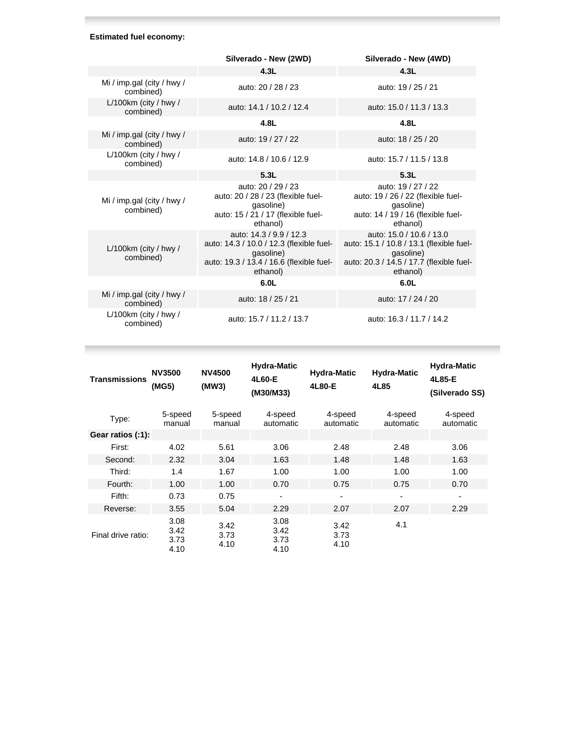### **Estimated fuel economy:**

ı

|                                         | Silverado - New (2WD)                                                                                                                    | Silverado - New (4WD)                                                                                                                     |
|-----------------------------------------|------------------------------------------------------------------------------------------------------------------------------------------|-------------------------------------------------------------------------------------------------------------------------------------------|
|                                         | 4.3L                                                                                                                                     | 4.3L                                                                                                                                      |
| Mi / imp.gal (city / hwy /<br>combined) | auto: 20 / 28 / 23                                                                                                                       | auto: 19 / 25 / 21                                                                                                                        |
| L/100km (city / hwy /<br>combined)      | auto: 14.1 / 10.2 / 12.4                                                                                                                 | auto: 15.0 / 11.3 / 13.3                                                                                                                  |
|                                         | 4.8L                                                                                                                                     | 4.8L                                                                                                                                      |
| Mi / imp.gal (city / hwy /<br>combined) | auto: 19 / 27 / 22                                                                                                                       | auto: 18 / 25 / 20                                                                                                                        |
| L/100km (city / hwy /<br>combined)      | auto: 14.8 / 10.6 / 12.9                                                                                                                 | auto: 15.7 / 11.5 / 13.8                                                                                                                  |
|                                         | 5.3L                                                                                                                                     | 5.3L                                                                                                                                      |
| Mi / imp.gal (city / hwy /<br>combined) | auto: 20 / 29 / 23<br>auto: 20 / 28 / 23 (flexible fuel-<br>gasoline)<br>auto: 15 / 21 / 17 (flexible fuel-<br>ethanol)                  | auto: 19 / 27 / 22<br>auto: 19 / 26 / 22 (flexible fuel-<br>gasoline)<br>auto: 14 / 19 / 16 (flexible fuel-<br>ethanol)                   |
| L/100km (city / hwy /<br>combined)      | auto: 14.3 / 9.9 / 12.3<br>auto: 14.3 / 10.0 / 12.3 (flexible fuel-<br>gasoline)<br>auto: 19.3 / 13.4 / 16.6 (flexible fuel-<br>ethanol) | auto: 15.0 / 10.6 / 13.0<br>auto: 15.1 / 10.8 / 13.1 (flexible fuel-<br>gasoline)<br>auto: 20.3 / 14.5 / 17.7 (flexible fuel-<br>ethanol) |
|                                         | 6.0L                                                                                                                                     | 6.0L                                                                                                                                      |
| Mi / imp.gal (city / hwy /<br>combined) | auto: 18 / 25 / 21                                                                                                                       | auto: 17 / 24 / 20                                                                                                                        |
| $L/100km$ (city / hwy /<br>combined)    | auto: 15.7 / 11.2 / 13.7                                                                                                                 | auto: 16.3 / 11.7 / 14.2                                                                                                                  |

| <b>Transmissions</b> | <b>NV3500</b><br>(MG5)       | <b>NV4500</b><br>(MW3) | <b>Hydra-Matic</b><br>4L60-E<br>(M30/M33) | <b>Hydra-Matic</b><br>4L80-E | <b>Hydra-Matic</b><br>4L85 | <b>Hydra-Matic</b><br>4L85-E<br>(Silverado SS) |
|----------------------|------------------------------|------------------------|-------------------------------------------|------------------------------|----------------------------|------------------------------------------------|
| Type:                | 5-speed<br>manual            | 5-speed<br>manual      | 4-speed<br>automatic                      | 4-speed<br>automatic         | 4-speed<br>automatic       | 4-speed<br>automatic                           |
| Gear ratios (:1):    |                              |                        |                                           |                              |                            |                                                |
| First:               | 4.02                         | 5.61                   | 3.06                                      | 2.48                         | 2.48                       | 3.06                                           |
| Second:              | 2.32                         | 3.04                   | 1.63                                      | 1.48                         | 1.48                       | 1.63                                           |
| Third:               | 1.4                          | 1.67                   | 1.00                                      | 1.00                         | 1.00                       | 1.00                                           |
| Fourth:              | 1.00                         | 1.00                   | 0.70                                      | 0.75                         | 0.75                       | 0.70                                           |
| Fifth:               | 0.73                         | 0.75                   | $\overline{\phantom{a}}$                  | $\blacksquare$               | $\blacksquare$             | $\blacksquare$                                 |
| Reverse:             | 3.55                         | 5.04                   | 2.29                                      | 2.07                         | 2.07                       | 2.29                                           |
| Final drive ratio:   | 3.08<br>3.42<br>3.73<br>4.10 | 3.42<br>3.73<br>4.10   | 3.08<br>3.42<br>3.73<br>4.10              | 3.42<br>3.73<br>4.10         | 4.1                        |                                                |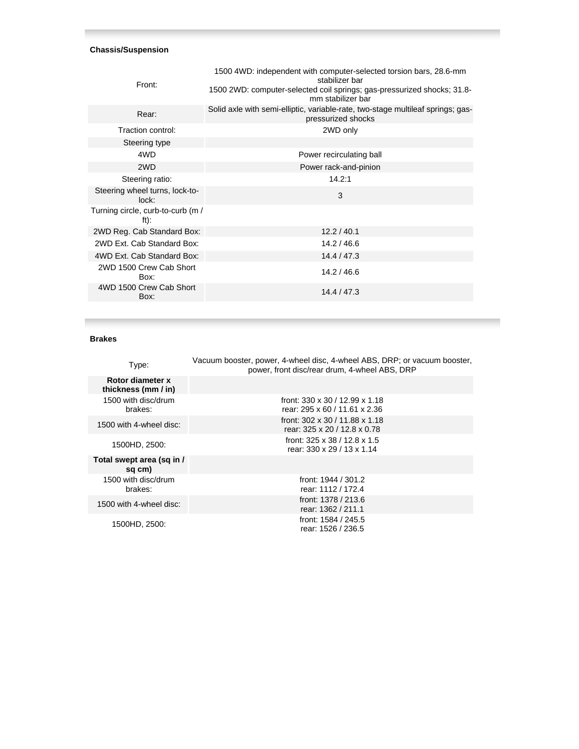### **Chassis/Suspension**

| 1500 4WD: independent with computer-selected torsion bars, 28.6-mm<br>stabilizer bar<br>1500 2WD: computer-selected coil springs; gas-pressurized shocks; 31.8-<br>mm stabilizer bar |
|--------------------------------------------------------------------------------------------------------------------------------------------------------------------------------------|
| Solid axle with semi-elliptic, variable-rate, two-stage multileaf springs; gas-<br>pressurized shocks                                                                                |
| 2WD only                                                                                                                                                                             |
|                                                                                                                                                                                      |
| Power recirculating ball                                                                                                                                                             |
| Power rack-and-pinion                                                                                                                                                                |
| 14.2:1                                                                                                                                                                               |
| 3                                                                                                                                                                                    |
|                                                                                                                                                                                      |
| 12.2 / 40.1                                                                                                                                                                          |
| 14.2 / 46.6                                                                                                                                                                          |
| 14.4 / 47.3                                                                                                                                                                          |
| 14.2 / 46.6                                                                                                                                                                          |
| 14.4 / 47.3                                                                                                                                                                          |
|                                                                                                                                                                                      |

## **Brakes**

| Type:                                   | Vacuum booster, power, 4-wheel disc, 4-wheel ABS, DRP; or vacuum booster,<br>power, front disc/rear drum, 4-wheel ABS, DRP |
|-----------------------------------------|----------------------------------------------------------------------------------------------------------------------------|
| Rotor diameter x<br>thickness (mm / in) |                                                                                                                            |
| 1500 with disc/drum<br>brakes:          | front: 330 x 30 / 12.99 x 1.18<br>rear: 295 x 60 / 11.61 x 2.36                                                            |
| 1500 with 4-wheel disc:                 | front: 302 x 30 / 11.88 x 1.18<br>rear: 325 x 20 / 12.8 x 0.78                                                             |
| 1500HD, 2500:                           | front: $325 \times 38 / 12.8 \times 1.5$<br>rear: 330 x 29 / 13 x 1.14                                                     |
| Total swept area (sq in /<br>sq cm)     |                                                                                                                            |
| 1500 with disc/drum<br>brakes:          | front: 1944 / 301.2<br>rear: 1112 / 172.4                                                                                  |
| 1500 with 4-wheel disc:                 | front: 1378 / 213.6<br>rear: 1362 / 211.1                                                                                  |
| 1500HD, 2500:                           | front: 1584 / 245.5<br>rear: 1526 / 236.5                                                                                  |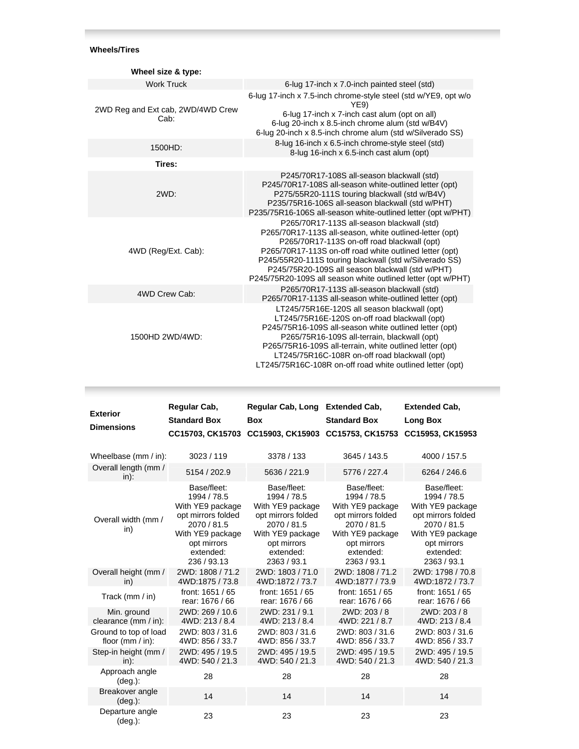# **Wheels/Tires**

| Wheel size & type:                        |                                                                                                                                                                                                                                                                                                                                                                                               |
|-------------------------------------------|-----------------------------------------------------------------------------------------------------------------------------------------------------------------------------------------------------------------------------------------------------------------------------------------------------------------------------------------------------------------------------------------------|
| <b>Work Truck</b>                         | 6-lug 17-inch x 7.0-inch painted steel (std)                                                                                                                                                                                                                                                                                                                                                  |
| 2WD Reg and Ext cab, 2WD/4WD Crew<br>Cab: | 6-lug 17-inch x 7.5-inch chrome-style steel (std w/YE9, opt w/o<br>YE9)<br>6-lug 17-inch x 7-inch cast alum (opt on all)<br>6-lug 20-inch x 8.5-inch chrome alum (std w/B4V)<br>6-lug 20-inch x 8.5-inch chrome alum (std w/Silverado SS)                                                                                                                                                     |
| 1500HD:                                   | 8-lug 16-inch x 6.5-inch chrome-style steel (std)<br>8-lug 16-inch x 6.5-inch cast alum (opt)                                                                                                                                                                                                                                                                                                 |
| Tires:                                    |                                                                                                                                                                                                                                                                                                                                                                                               |
| 2WD:                                      | P245/70R17-108S all-season blackwall (std)<br>P245/70R17-108S all-season white-outlined letter (opt)<br>P275/55R20-111S touring blackwall (std w/B4V)<br>P235/75R16-106S all-season blackwall (std w/PHT)<br>P235/75R16-106S all-season white-outlined letter (opt w/PHT)                                                                                                                     |
| 4WD (Reg/Ext. Cab):                       | P265/70R17-113S all-season blackwall (std)<br>P265/70R17-113S all-season, white outlined-letter (opt)<br>P265/70R17-113S on-off road blackwall (opt)<br>P265/70R17-113S on-off road white outlined letter (opt)<br>P245/55R20-111S touring blackwall (std w/Silverado SS)<br>P245/75R20-109S all season blackwall (std w/PHT)<br>P245/75R20-109S all season white outlined letter (opt w/PHT) |
| 4WD Crew Cab:                             | P265/70R17-113S all-season blackwall (std)<br>P265/70R17-113S all-season white-outlined letter (opt)                                                                                                                                                                                                                                                                                          |
| 1500HD 2WD/4WD:                           | LT245/75R16E-120S all season blackwall (opt)<br>LT245/75R16E-120S on-off road blackwall (opt)<br>P245/75R16-109S all-season white outlined letter (opt)<br>P265/75R16-109S all-terrain, blackwall (opt)<br>P265/75R16-109S all-terrain, white outlined letter (opt)<br>LT245/75R16C-108R on-off road blackwall (opt)<br>LT245/75R16C-108R on-off road white outlined letter (opt)             |

| <b>Exterior</b><br><b>Dimensions</b>         | Regular Cab,<br><b>Standard Box</b>                                                                                                                | Regular Cab, Long Extended Cab,<br><b>Box</b><br>CC15703, CK15703 CC15903, CK15903 CC15753, CK15753                                                | <b>Standard Box</b>                                                                                                                                | <b>Extended Cab,</b><br><b>Long Box</b><br>CC15953, CK15953                                                                                        |
|----------------------------------------------|----------------------------------------------------------------------------------------------------------------------------------------------------|----------------------------------------------------------------------------------------------------------------------------------------------------|----------------------------------------------------------------------------------------------------------------------------------------------------|----------------------------------------------------------------------------------------------------------------------------------------------------|
| Wheelbase (mm / in):                         | 3023/119                                                                                                                                           | 3378 / 133                                                                                                                                         | 3645 / 143.5                                                                                                                                       | 4000 / 157.5                                                                                                                                       |
| Overall length (mm /<br>in):                 | 5154 / 202.9                                                                                                                                       | 5636 / 221.9                                                                                                                                       | 5776 / 227.4                                                                                                                                       | 6264 / 246.6                                                                                                                                       |
| Overall width (mm /<br>in)                   | Base/fleet:<br>1994 / 78.5<br>With YE9 package<br>opt mirrors folded<br>2070 / 81.5<br>With YE9 package<br>opt mirrors<br>extended:<br>236 / 93.13 | Base/fleet:<br>1994 / 78.5<br>With YE9 package<br>opt mirrors folded<br>2070 / 81.5<br>With YE9 package<br>opt mirrors<br>extended:<br>2363 / 93.1 | Base/fleet:<br>1994 / 78.5<br>With YE9 package<br>opt mirrors folded<br>2070 / 81.5<br>With YE9 package<br>opt mirrors<br>extended:<br>2363 / 93.1 | Base/fleet:<br>1994 / 78.5<br>With YE9 package<br>opt mirrors folded<br>2070 / 81.5<br>With YE9 package<br>opt mirrors<br>extended:<br>2363 / 93.1 |
| Overall height (mm /<br>in)                  | 2WD: 1808 / 71.2<br>4WD:1875 / 73.8                                                                                                                | 2WD: 1803 / 71.0<br>4WD:1872 / 73.7                                                                                                                | 2WD: 1808 / 71.2<br>4WD:1877 / 73.9                                                                                                                | 2WD: 1798 / 70.8<br>4WD:1872 / 73.7                                                                                                                |
| Track (mm / in)                              | front: 1651 / 65<br>rear: 1676 / 66                                                                                                                | front: 1651 / 65<br>rear: 1676 / 66                                                                                                                | front: 1651 / 65<br>rear: 1676 / 66                                                                                                                | front: 1651 / 65<br>rear: 1676 / 66                                                                                                                |
| Min. ground<br>clearance (mm / in):          | 2WD: 269 / 10.6<br>4WD: 213 / 8.4                                                                                                                  | 2WD: 231 / 9.1<br>4WD: 213 / 8.4                                                                                                                   | 2WD: 203 / 8<br>4WD: 221 / 8.7                                                                                                                     | 2WD: 203 / 8<br>4WD: 213 / 8.4                                                                                                                     |
| Ground to top of load<br>floor $(mm / in)$ : | 2WD: 803 / 31.6<br>4WD: 856 / 33.7                                                                                                                 | 2WD: 803 / 31.6<br>4WD: 856 / 33.7                                                                                                                 | 2WD: 803 / 31.6<br>4WD: 856 / 33.7                                                                                                                 | 2WD: 803 / 31.6<br>4WD: 856 / 33.7                                                                                                                 |
| Step-in height (mm /<br>$in)$ :              | 2WD: 495 / 19.5<br>4WD: 540 / 21.3                                                                                                                 | 2WD: 495 / 19.5<br>4WD: 540 / 21.3                                                                                                                 | 2WD: 495 / 19.5<br>4WD: 540 / 21.3                                                                                                                 | 2WD: 495 / 19.5<br>4WD: 540 / 21.3                                                                                                                 |
| Approach angle<br>$(\text{deg.})$ :          | 28                                                                                                                                                 | 28                                                                                                                                                 | 28                                                                                                                                                 | 28                                                                                                                                                 |
| Breakover angle<br>$(\text{deg.})$ :         | 14                                                                                                                                                 | 14                                                                                                                                                 | 14                                                                                                                                                 | 14                                                                                                                                                 |
| Departure angle<br>(deg.):                   | 23                                                                                                                                                 | 23                                                                                                                                                 | 23                                                                                                                                                 | 23                                                                                                                                                 |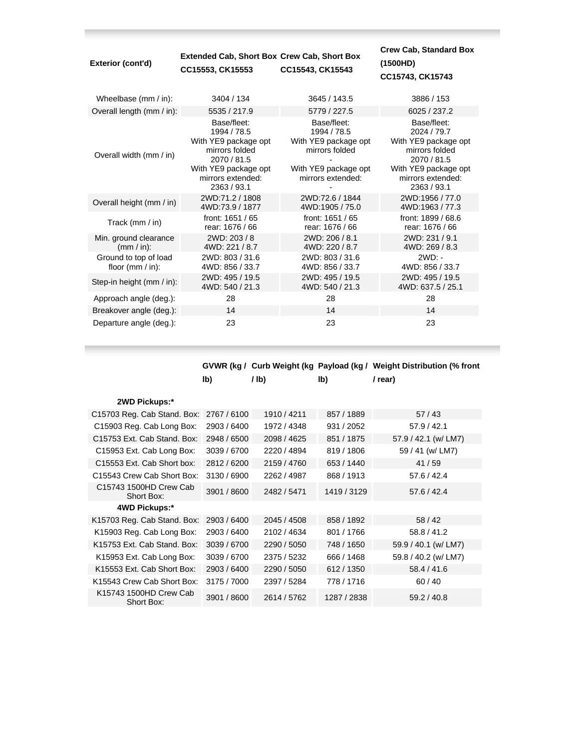| Exterior (cont'd)                            | <b>Extended Cab, Short Box Crew Cab, Short Box</b><br>CC15553, CK15553                                                                          | CC15543, CK15543                                                                                                  | <b>Crew Cab, Standard Box</b><br>(1500HD)<br>CC15743, CK15743                                                                                   |
|----------------------------------------------|-------------------------------------------------------------------------------------------------------------------------------------------------|-------------------------------------------------------------------------------------------------------------------|-------------------------------------------------------------------------------------------------------------------------------------------------|
| Wheelbase (mm / in):                         | 3404 / 134                                                                                                                                      | 3645 / 143.5                                                                                                      | 3886 / 153                                                                                                                                      |
| Overall length (mm / in):                    | 5535 / 217.9                                                                                                                                    | 5779 / 227.5                                                                                                      | 6025 / 237.2                                                                                                                                    |
| Overall width (mm / in)                      | Base/fleet:<br>1994 / 78.5<br>With YE9 package opt<br>mirrors folded<br>2070 / 81.5<br>With YE9 package opt<br>mirrors extended:<br>2363 / 93.1 | Base/fleet:<br>1994 / 78.5<br>With YE9 package opt<br>mirrors folded<br>With YE9 package opt<br>mirrors extended: | Base/fleet:<br>2024 / 79.7<br>With YE9 package opt<br>mirrors folded<br>2070 / 81.5<br>With YE9 package opt<br>mirrors extended:<br>2363 / 93.1 |
| Overall height (mm / in)                     | 2WD:71.2 / 1808<br>4WD:73.9 / 1877                                                                                                              | 2WD:72.6 / 1844<br>4WD:1905 / 75.0                                                                                | 2WD:1956 / 77.0<br>4WD:1963 / 77.3                                                                                                              |
| Track (mm / in)                              | front: 1651 / 65<br>rear: 1676 / 66                                                                                                             | front: 1651 / 65<br>rear: 1676 / 66                                                                               | front: 1899 / 68.6<br>rear: 1676 / 66                                                                                                           |
| Min. ground clearance<br>$(mm / in)$ :       | 2WD: 203 / 8<br>4WD: 221 / 8.7                                                                                                                  | 2WD: 206 / 8.1<br>4WD: 220 / 8.7                                                                                  | 2WD: 231 / 9.1<br>4WD: 269 / 8.3                                                                                                                |
| Ground to top of load<br>floor $(mm / in)$ : | 2WD: 803 / 31.6<br>4WD: 856 / 33.7                                                                                                              | 2WD: 803 / 31.6<br>4WD: 856 / 33.7                                                                                | $2WD: -$<br>4WD: 856 / 33.7                                                                                                                     |
| Step-in height (mm / in):                    | 2WD: 495 / 19.5<br>4WD: 540 / 21.3                                                                                                              | 2WD: 495 / 19.5<br>4WD: 540 / 21.3                                                                                | 2WD: 495 / 19.5<br>4WD: 637.5 / 25.1                                                                                                            |
| Approach angle (deg.):                       | 28                                                                                                                                              | 28                                                                                                                | 28                                                                                                                                              |
| Breakover angle (deg.):                      | 14                                                                                                                                              | 14                                                                                                                | 14                                                                                                                                              |
| Departure angle (deg.):                      | 23                                                                                                                                              | 23                                                                                                                | 23                                                                                                                                              |

**College** 

|                                      |             |                 |             | GVWR (kg / Curb Weight (kg Payload (kg / Weight Distribution (% front |
|--------------------------------------|-------------|-----------------|-------------|-----------------------------------------------------------------------|
|                                      | lb)         | I <sub>1b</sub> | lb)         | / rear)                                                               |
| 2WD Pickups:*                        |             |                 |             |                                                                       |
| C15703 Reg. Cab Stand. Box:          | 2767/6100   | 1910 / 4211     | 857 / 1889  | 57/43                                                                 |
| C15903 Reg. Cab Long Box:            | 2903 / 6400 | 1972 / 4348     | 931 / 2052  | 57.9 / 42.1                                                           |
| C15753 Ext. Cab Stand. Box:          | 2948 / 6500 | 2098 / 4625     | 851 / 1875  | 57.9 / 42.1 (w/ LM7)                                                  |
| C15953 Ext. Cab Long Box:            | 3039 / 6700 | 2220 / 4894     | 819 / 1806  | 59 / 41 (w/ LM7)                                                      |
| C15553 Ext. Cab Short box:           | 2812/6200   | 2159 / 4760     | 653 / 1440  | 41/59                                                                 |
| C15543 Crew Cab Short Box:           | 3130 / 6900 | 2262 / 4987     | 868 / 1913  | 57.6 / 42.4                                                           |
| C15743 1500HD Crew Cab<br>Short Box: | 3901 / 8600 | 2482 / 5471     | 1419 / 3129 | 57.6 / 42.4                                                           |
| 4WD Pickups:*                        |             |                 |             |                                                                       |
| K15703 Reg. Cab Stand. Box:          | 2903 / 6400 | 2045 / 4508     | 858 / 1892  | 58/42                                                                 |
| K15903 Reg. Cab Long Box:            | 2903 / 6400 | 2102 / 4634     | 801 / 1766  | 58.8 / 41.2                                                           |
| K15753 Ext. Cab Stand, Box:          | 3039 / 6700 | 2290 / 5050     | 748 / 1650  | 59.9 / 40.1 (w/ LM7)                                                  |
| K15953 Ext. Cab Long Box:            | 3039 / 6700 | 2375 / 5232     | 666 / 1468  | 59.8 / 40.2 (w/ LM7)                                                  |
| K15553 Ext. Cab Short Box:           | 2903 / 6400 | 2290 / 5050     | 612 / 1350  | 58.4 / 41.6                                                           |
| K15543 Crew Cab Short Box:           | 3175 / 7000 | 2397 / 5284     | 778 / 1716  | 60/40                                                                 |
| K15743 1500HD Crew Cab<br>Short Box: | 3901 / 8600 | 2614 / 5762     | 1287 / 2838 | 59.2 / 40.8                                                           |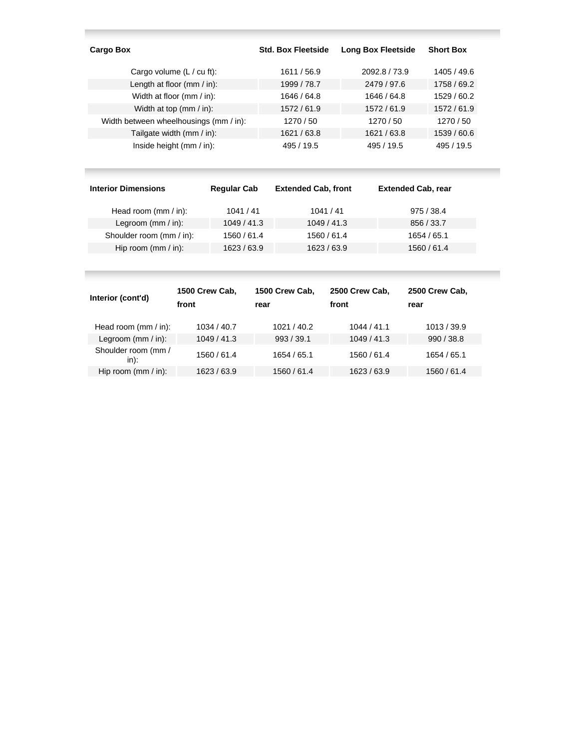| Cargo Box                              | <b>Std. Box Fleetside</b> | <b>Long Box Fleetside</b> | <b>Short Box</b> |
|----------------------------------------|---------------------------|---------------------------|------------------|
| Cargo volume $(L / cu$ ft):            | 1611 / 56.9               | 2092.8 / 73.9             | 1405 / 49.6      |
| Length at floor (mm / in):             | 1999 / 78.7               | 2479 / 97.6               | 1758 / 69.2      |
| Width at floor (mm / in):              | 1646 / 64.8               | 1646 / 64.8               | 1529 / 60.2      |
| Width at top $(mm / in)$ :             | 1572/61.9                 | 1572/61.9                 | 1572/61.9        |
| Width between wheelhousings (mm / in): | 1270/50                   | 1270/50                   | 1270 / 50        |
| Tailgate width (mm / in):              | 1621 / 63.8               | 1621 / 63.8               | 1539 / 60.6      |
| Inside height (mm / in):               | 495 / 19.5                | 495 / 19.5                | 495 / 19.5       |

| <b>Interior Dimensions</b> | <b>Regular Cab</b> | <b>Extended Cab, front</b> | <b>Extended Cab, rear</b> |
|----------------------------|--------------------|----------------------------|---------------------------|
| Head room $(mm / in)$ :    | 1041/41            | 1041/41                    | 975/38.4                  |
| Legroom $(mm / in)$ :      | 1049/41.3          | 1049/41.3                  | 856 / 33.7                |
| Shoulder room (mm / in):   | 1560 / 61.4        | 1560 / 61.4                | 1654 / 65.1               |
| Hip room (mm / in):        | 1623 / 63.9        | 1623 / 63.9                | 1560 / 61.4               |

the control of the control of the control of the control of the control of the control of the control of the c

| Interior (cont'd)           | 1500 Crew Cab,<br>front | 1500 Crew Cab,<br>rear | 2500 Crew Cab,<br>front | 2500 Crew Cab,<br>rear |
|-----------------------------|-------------------------|------------------------|-------------------------|------------------------|
| Head room (mm / in):        | 1034 / 40.7             | 1021/40.2              | 1044/41.1               | 1013/39.9              |
| Legroom $(mm / in)$ :       | 1049/41.3               | 993/39.1               | 1049/41.3               | 990/38.8               |
| Shoulder room (mm /<br>in): | 1560 / 61.4             | 1654 / 65.1            | 1560 / 61.4             | 1654 / 65.1            |
| Hip room $(mm / in)$ :      | 1623/63.9               | 1560 / 61.4            | 1623 / 63.9             | 1560 / 61.4            |

the control of the control of the control of the control of the control of the control of the control of the c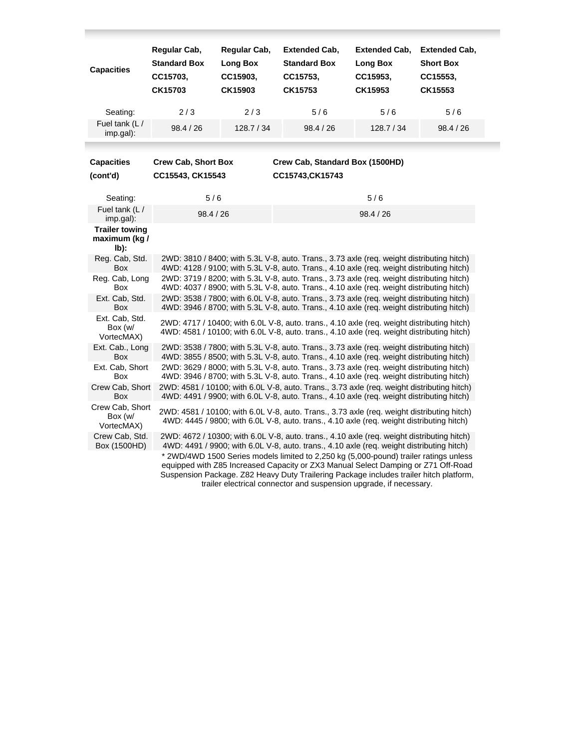| <b>Capacities</b>                              | Regular Cab,<br><b>Standard Box</b><br>CC15703,<br>CK15703 | Regular Cab,<br>Long Box<br>CC15903,<br>CK15903 | <b>Extended Cab,</b><br><b>Standard Box</b><br>CC15753,<br>CK15753                                                                                                                                                                                                                                                                         | <b>Extended Cab,</b><br>Long Box<br>CC15953,<br>CK15953 | <b>Extended Cab,</b><br><b>Short Box</b><br>CC15553,<br>CK15553 |
|------------------------------------------------|------------------------------------------------------------|-------------------------------------------------|--------------------------------------------------------------------------------------------------------------------------------------------------------------------------------------------------------------------------------------------------------------------------------------------------------------------------------------------|---------------------------------------------------------|-----------------------------------------------------------------|
| Seating:                                       | 2/3                                                        | 2/3                                             | 5/6                                                                                                                                                                                                                                                                                                                                        | 5/6                                                     | 5/6                                                             |
| Fuel tank (L/<br>imp.gal):                     | 98.4 / 26                                                  | 128.7 / 34                                      | 98.4 / 26                                                                                                                                                                                                                                                                                                                                  | 128.7 / 34                                              | 98.4 / 26                                                       |
| <b>Capacities</b>                              | <b>Crew Cab, Short Box</b>                                 |                                                 | Crew Cab, Standard Box (1500HD)                                                                                                                                                                                                                                                                                                            |                                                         |                                                                 |
| (cont'd)                                       | CC15543, CK15543                                           |                                                 | CC15743, CK15743                                                                                                                                                                                                                                                                                                                           |                                                         |                                                                 |
| Seating:                                       | 5/6                                                        |                                                 |                                                                                                                                                                                                                                                                                                                                            | 5/6                                                     |                                                                 |
| Fuel tank (L/<br>imp.gal):                     | 98.4 / 26                                                  |                                                 |                                                                                                                                                                                                                                                                                                                                            | 98.4 / 26                                               |                                                                 |
| <b>Trailer towing</b><br>maximum (kg /<br>lb): |                                                            |                                                 |                                                                                                                                                                                                                                                                                                                                            |                                                         |                                                                 |
| Reg. Cab, Std.<br>Box                          |                                                            |                                                 | 2WD: 3810 / 8400; with 5.3L V-8, auto. Trans., 3.73 axle (req. weight distributing hitch)<br>4WD: 4128 / 9100; with 5.3L V-8, auto. Trans., 4.10 axle (req. weight distributing hitch)                                                                                                                                                     |                                                         |                                                                 |
| Reg. Cab, Long<br>Box                          |                                                            |                                                 | 2WD: 3719 / 8200; with 5.3L V-8, auto. Trans., 3.73 axle (req. weight distributing hitch)<br>4WD: 4037 / 8900; with 5.3L V-8, auto. Trans., 4.10 axle (req. weight distributing hitch)                                                                                                                                                     |                                                         |                                                                 |
| Ext. Cab, Std.<br>Box                          |                                                            |                                                 | 2WD: 3538 / 7800; with 6.0L V-8, auto. Trans., 3.73 axle (req. weight distributing hitch)<br>4WD: 3946 / 8700; with 5.3L V-8, auto. Trans., 4.10 axle (req. weight distributing hitch)                                                                                                                                                     |                                                         |                                                                 |
| Ext. Cab, Std.<br>Box (w/<br>VortecMAX)        |                                                            |                                                 | 2WD: 4717 / 10400; with 6.0L V-8, auto. trans., 4.10 axle (req. weight distributing hitch)<br>4WD: 4581 / 10100; with 6.0L V-8, auto. trans., 4.10 axle (req. weight distributing hitch)                                                                                                                                                   |                                                         |                                                                 |
| Ext. Cab., Long<br>Box                         |                                                            |                                                 | 2WD: 3538 / 7800; with 5.3L V-8, auto. Trans., 3.73 axle (req. weight distributing hitch)<br>4WD: 3855 / 8500; with 5.3L V-8, auto. Trans., 4.10 axle (req. weight distributing hitch)                                                                                                                                                     |                                                         |                                                                 |
| Ext. Cab, Short<br>Box                         |                                                            |                                                 | 2WD: 3629 / 8000; with 5.3L V-8, auto. Trans., 3.73 axle (req. weight distributing hitch)<br>4WD: 3946 / 8700; with 5.3L V-8, auto. Trans., 4.10 axle (req. weight distributing hitch)                                                                                                                                                     |                                                         |                                                                 |
| Crew Cab, Short<br>Box                         |                                                            |                                                 | 2WD: 4581 / 10100; with 6.0L V-8, auto. Trans., 3.73 axle (req. weight distributing hitch)<br>4WD: 4491 / 9900; with 6.0L V-8, auto. Trans., 4.10 axle (req. weight distributing hitch)                                                                                                                                                    |                                                         |                                                                 |
| Crew Cab, Short<br>Box (w/<br>VortecMAX)       |                                                            |                                                 | 2WD: 4581 / 10100; with 6.0L V-8, auto. Trans., 3.73 axle (req. weight distributing hitch)<br>4WD: 4445 / 9800; with 6.0L V-8, auto. trans., 4.10 axle (req. weight distributing hitch)                                                                                                                                                    |                                                         |                                                                 |
| Crew Cab, Std.<br>Box (1500HD)                 |                                                            |                                                 | 2WD: 4672 / 10300; with 6.0L V-8, auto. trans., 4.10 axle (reg. weight distributing hitch)<br>4WD: 4491 / 9900; with 6.0L V-8, auto. trans., 4.10 axle (req. weight distributing hitch)                                                                                                                                                    |                                                         |                                                                 |
|                                                |                                                            |                                                 | * 2WD/4WD 1500 Series models limited to 2,250 kg (5,000-pound) trailer ratings unless<br>equipped with Z85 Increased Capacity or ZX3 Manual Select Damping or Z71 Off-Road<br>Suspension Package. Z82 Heavy Duty Trailering Package includes trailer hitch platform,<br>trailer electrical connector and suspension upgrade, if necessary. |                                                         |                                                                 |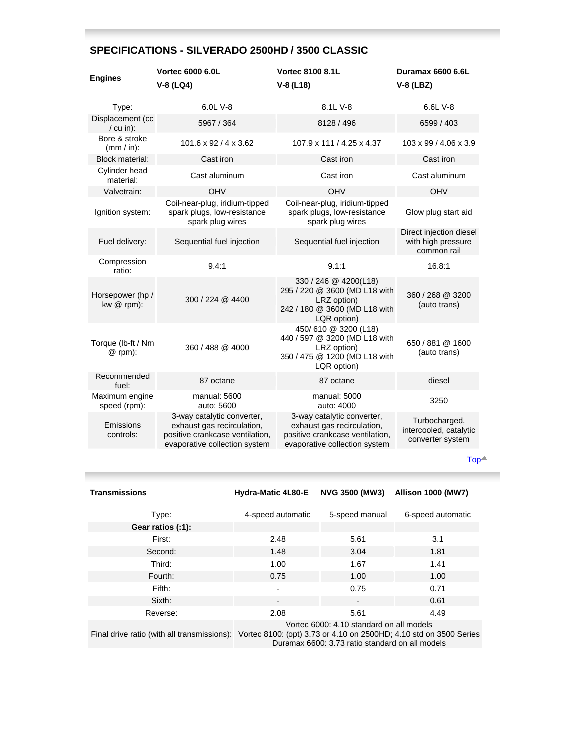# **SPECIFICATIONS - SILVERADO 2500HD / 3500 CLASSIC**

| <b>Engines</b>                  | <b>Vortec 6000 6.0L</b><br>$V-8$ (LQ4)                                                                                       | <b>Vortec 8100 8.1L</b><br>$V-8$ (L18)                                                                                       | <b>Duramax 6600 6.6L</b><br>$V-8$ (LBZ)                      |
|---------------------------------|------------------------------------------------------------------------------------------------------------------------------|------------------------------------------------------------------------------------------------------------------------------|--------------------------------------------------------------|
| Type:                           | 6.0L V-8                                                                                                                     | 8.1L V-8                                                                                                                     | 6.6L V-8                                                     |
| Displacement (cc<br>$/ cu$ in): | 5967 / 364                                                                                                                   | 8128 / 496                                                                                                                   | 6599 / 403                                                   |
| Bore & stroke<br>$(mm / in)$ :  | $101.6 \times 92 / 4 \times 3.62$                                                                                            | 107.9 x 111 / 4.25 x 4.37                                                                                                    | 103 x 99 / 4.06 x 3.9                                        |
| <b>Block material:</b>          | Cast iron                                                                                                                    | Cast iron                                                                                                                    | Cast iron                                                    |
| Cylinder head<br>material:      | Cast aluminum                                                                                                                | Cast iron                                                                                                                    | Cast aluminum                                                |
| Valvetrain:                     | <b>OHV</b>                                                                                                                   | <b>OHV</b>                                                                                                                   | OHV                                                          |
| Ignition system:                | Coil-near-plug, iridium-tipped<br>spark plugs, low-resistance<br>spark plug wires                                            | Coil-near-plug, iridium-tipped<br>spark plugs, low-resistance<br>spark plug wires                                            | Glow plug start aid                                          |
| Fuel delivery:                  | Sequential fuel injection                                                                                                    | Sequential fuel injection                                                                                                    | Direct injection diesel<br>with high pressure<br>common rail |
| Compression<br>ratio:           | 9.4:1                                                                                                                        | 9.1:1                                                                                                                        | 16.8:1                                                       |
| Horsepower (hp/<br>kw $@$ rpm): | 300 / 224 @ 4400                                                                                                             | 330 / 246 @ 4200(L18)<br>295 / 220 @ 3600 (MD L18 with<br>LRZ option)<br>242 / 180 @ 3600 (MD L18 with<br>LQR option)        | 360 / 268 @ 3200<br>(auto trans)                             |
| Torque (lb-ft / Nm<br>@ rpm):   | 360 / 488 @ 4000                                                                                                             | 450/610 @ 3200 (L18)<br>440 / 597 @ 3200 (MD L18 with<br>LRZ option)<br>350 / 475 @ 1200 (MD L18 with<br>LQR option)         | 650 / 881 @ 1600<br>(auto trans)                             |
| Recommended<br>fuel:            | 87 octane                                                                                                                    | 87 octane                                                                                                                    | diesel                                                       |
| Maximum engine<br>speed (rpm):  | manual: 5600<br>auto: 5600                                                                                                   | manual: 5000<br>auto: 4000                                                                                                   | 3250                                                         |
| Emissions<br>controls:          | 3-way catalytic converter,<br>exhaust gas recirculation,<br>positive crankcase ventilation,<br>evaporative collection system | 3-way catalytic converter,<br>exhaust gas recirculation,<br>positive crankcase ventilation,<br>evaporative collection system | Turbocharged,<br>intercooled, catalytic<br>converter system  |

[Top](http://www.gmcanada.com/english/vehicles/chevrolet/silverado/silv_opti.jsp#top)

| <b>Transmissions</b> | Hydra-Matic 4L80-E                       | <b>NVG 3500 (MW3)</b> | <b>Allison 1000 (MW7)</b> |
|----------------------|------------------------------------------|-----------------------|---------------------------|
| Type:                | 4-speed automatic                        | 5-speed manual        | 6-speed automatic         |
| Gear ratios (:1):    |                                          |                       |                           |
| First:               | 2.48                                     | 5.61                  | 3.1                       |
| Second:              | 1.48                                     | 3.04                  | 1.81                      |
| Third:               | 1.00                                     | 1.67                  | 1.41                      |
| Fourth:              | 0.75                                     | 1.00                  | 1.00                      |
| Fifth:               | $\overline{\phantom{a}}$                 | 0.75                  | 0.71                      |
| Sixth:               | $\overline{\phantom{a}}$                 | $\blacksquare$        | 0.61                      |
| Reverse:             | 2.08                                     | 5.61                  | 4.49                      |
|                      | Vortec 6000: 4.10 standard on all models |                       |                           |

Final drive ratio (with all transmissions): Vortec 8100: (opt) 3.73 or 4.10 on 2500HD; 4.10 std on 3500 Series Duramax 6600: 3.73 ratio standard on all models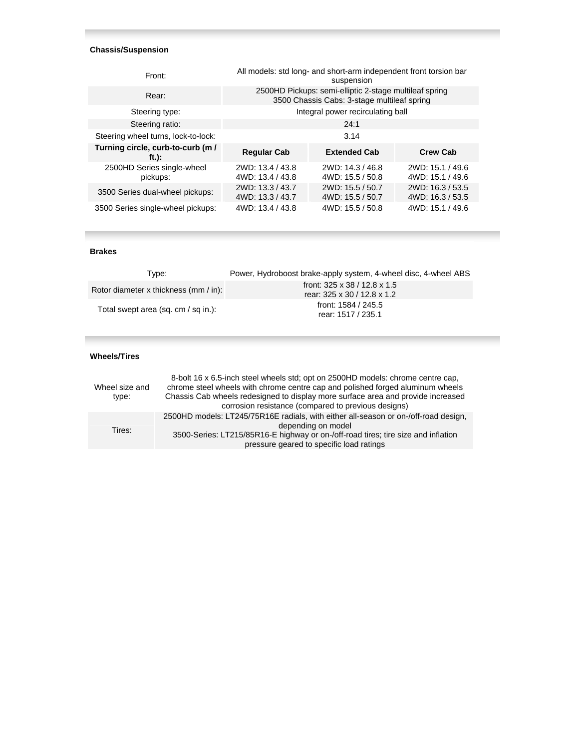## **Chassis/Suspension**

| Front:                                       |                                      | All models: std long- and short-arm independent front torsion bar<br>suspension                       |                                      |
|----------------------------------------------|--------------------------------------|-------------------------------------------------------------------------------------------------------|--------------------------------------|
| Rear:                                        |                                      | 2500HD Pickups: semi-elliptic 2-stage multileaf spring<br>3500 Chassis Cabs: 3-stage multileaf spring |                                      |
| Steering type:                               |                                      | Integral power recirculating ball                                                                     |                                      |
| Steering ratio:                              |                                      | 24:1                                                                                                  |                                      |
| Steering wheel turns, lock-to-lock:          |                                      | 3.14                                                                                                  |                                      |
| Turning circle, curb-to-curb (m /<br>$ft.$ : | <b>Regular Cab</b>                   | <b>Extended Cab</b>                                                                                   | <b>Crew Cab</b>                      |
| 2500HD Series single-wheel<br>pickups:       | 2WD: 13.4 / 43.8<br>4WD: 13.4 / 43.8 | 2WD: 14.3 / 46.8<br>4WD: 15.5 / 50.8                                                                  | 2WD: 15.1 / 49.6<br>4WD: 15.1 / 49.6 |
| 3500 Series dual-wheel pickups:              | 2WD: 13.3 / 43.7<br>4WD: 13.3 / 43.7 | 2WD: 15.5 / 50.7<br>4WD: 15.5 / 50.7                                                                  | 2WD: 16.3 / 53.5<br>4WD: 16.3 / 53.5 |
| 3500 Series single-wheel pickups:            | 4WD: 13.4 / 43.8                     | 4WD: 15.5 / 50.8                                                                                      | 4WD: 15.1 / 49.6                     |

#### **Brakes**

| Tvpe:                                 | Power, Hydroboost brake-apply system, 4-wheel disc, 4-wheel ABS         |
|---------------------------------------|-------------------------------------------------------------------------|
| Rotor diameter x thickness (mm / in): | front: $325 \times 38 / 12.8 \times 1.5$<br>rear: 325 x 30 / 12.8 x 1.2 |
| Total swept area (sq. cm / sq in.):   | front: 1584 / 245.5<br>rear: 1517 / 235.1                               |

## **Wheels/Tires**

| Wheel size and<br>type: | 8-bolt 16 x 6.5-inch steel wheels std; opt on 2500HD models: chrome centre cap,<br>chrome steel wheels with chrome centre cap and polished forged aluminum wheels<br>Chassis Cab wheels redesigned to display more surface area and provide increased<br>corrosion resistance (compared to previous designs) |
|-------------------------|--------------------------------------------------------------------------------------------------------------------------------------------------------------------------------------------------------------------------------------------------------------------------------------------------------------|
| Tires:                  | 2500HD models: LT245/75R16E radials, with either all-season or on-/off-road design,<br>depending on model<br>3500-Series: LT215/85R16-E highway or on-/off-road tires; tire size and inflation<br>pressure geared to specific load ratings                                                                   |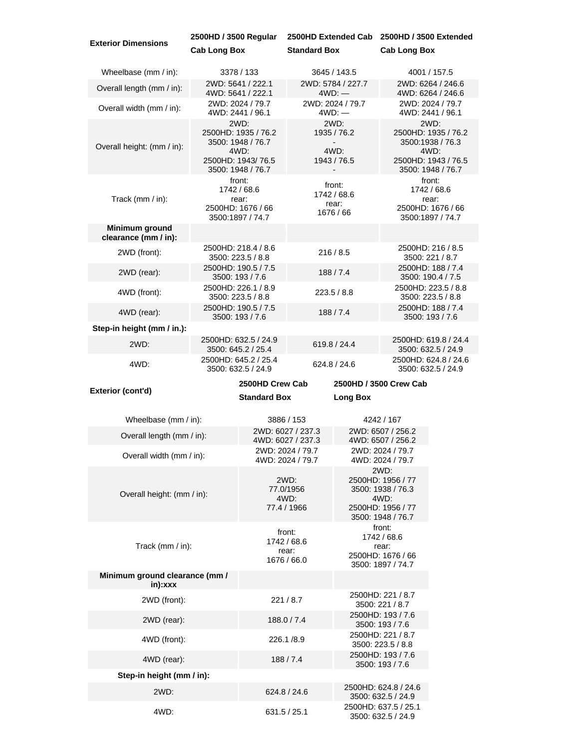| <b>Exterior Dimensions</b>                                          | 2500HD / 3500 Regular                      |                                                                                                    |                                               |                                             | 2500HD Extended Cab 2500HD / 3500 Extended                                                       |                                                                                                     |
|---------------------------------------------------------------------|--------------------------------------------|----------------------------------------------------------------------------------------------------|-----------------------------------------------|---------------------------------------------|--------------------------------------------------------------------------------------------------|-----------------------------------------------------------------------------------------------------|
|                                                                     | <b>Cab Long Box</b>                        |                                                                                                    | <b>Standard Box</b>                           |                                             | <b>Cab Long Box</b>                                                                              |                                                                                                     |
| Wheelbase (mm / in):                                                | 3378 / 133                                 |                                                                                                    |                                               | 3645 / 143.5                                |                                                                                                  | 4001 / 157.5                                                                                        |
| 2WD: 5641 / 222.1<br>Overall length (mm / in):<br>4WD: 5641 / 222.1 |                                            |                                                                                                    |                                               | 2WD: 5784 / 227.7<br>$4WD:$ —               |                                                                                                  | 2WD: 6264 / 246.6<br>4WD: 6264 / 246.6                                                              |
| Overall width (mm / in):                                            |                                            | 2WD: 2024 / 79.7<br>4WD: 2441 / 96.1                                                               |                                               | 2WD: 2024 / 79.7<br>$4WD:$ $-$              |                                                                                                  | 2WD: 2024 / 79.7<br>4WD: 2441 / 96.1                                                                |
| Overall height: (mm / in):                                          |                                            | 2WD:<br>2500HD: 1935 / 76.2<br>3500: 1948 / 76.7<br>4WD:<br>2500HD: 1943/76.5<br>3500: 1948 / 76.7 |                                               | 2WD:<br>1935 / 76.2<br>4WD:<br>1943 / 76.5  |                                                                                                  | 2WD:<br>2500HD: 1935 / 76.2<br>3500:1938 / 76.3<br>4WD:<br>2500HD: 1943 / 76.5<br>3500: 1948 / 76.7 |
| Track (mm / in):                                                    |                                            | front:<br>1742 / 68.6<br>rear:<br>2500HD: 1676 / 66<br>3500:1897 / 74.7                            |                                               | front:<br>1742 / 68.6<br>rear:<br>1676 / 66 |                                                                                                  | front:<br>1742 / 68.6<br>rear:<br>2500HD: 1676 / 66<br>3500:1897 / 74.7                             |
| Minimum ground<br>clearance (mm / in):                              |                                            |                                                                                                    |                                               |                                             |                                                                                                  |                                                                                                     |
| 2WD (front):                                                        | 2500HD: 218.4 / 8.6<br>3500: 223.5 / 8.8   |                                                                                                    |                                               | 216/8.5                                     |                                                                                                  | 2500HD: 216 / 8.5<br>3500: 221 / 8.7                                                                |
| 2WD (rear):                                                         | 2500HD: 190.5 / 7.5<br>3500: 193 / 7.6     |                                                                                                    |                                               | 188/7.4                                     |                                                                                                  | 2500HD: 188 / 7.4<br>3500: 190.4 / 7.5                                                              |
| 4WD (front):                                                        | 2500HD: 226.1 / 8.9<br>3500: 223.5 / 8.8   |                                                                                                    |                                               | 223.5/8.8                                   |                                                                                                  | 2500HD: 223.5 / 8.8<br>3500: 223.5 / 8.8                                                            |
| 4WD (rear):                                                         | 2500HD: 190.5 / 7.5<br>3500: 193 / 7.6     |                                                                                                    |                                               | 188/7.4                                     |                                                                                                  | 2500HD: 188 / 7.4<br>3500: 193 / 7.6                                                                |
| Step-in height (mm / in.):                                          |                                            |                                                                                                    |                                               |                                             |                                                                                                  |                                                                                                     |
| 2WD:                                                                | 2500HD: 632.5 / 24.9                       | 3500: 645.2 / 25.4                                                                                 |                                               | 619.8 / 24.4                                |                                                                                                  | 2500HD: 619.8 / 24.4<br>3500: 632.5 / 24.9                                                          |
| 4WD:                                                                | 2500HD: 645.2 / 25.4<br>3500: 632.5 / 24.9 |                                                                                                    |                                               | 624.8 / 24.6                                |                                                                                                  | 2500HD: 624.8 / 24.6<br>3500: 632.5 / 24.9                                                          |
|                                                                     |                                            |                                                                                                    |                                               |                                             |                                                                                                  |                                                                                                     |
|                                                                     |                                            | 2500HD Crew Cab                                                                                    |                                               |                                             | 2500HD / 3500 Crew Cab                                                                           |                                                                                                     |
| Exterior (cont'd)                                                   |                                            | <b>Standard Box</b>                                                                                |                                               | <b>Long Box</b>                             |                                                                                                  |                                                                                                     |
| Wheelbase (mm / in):                                                |                                            |                                                                                                    | 3886 / 153                                    |                                             | 4242 / 167                                                                                       |                                                                                                     |
| Overall length (mm / in):                                           |                                            |                                                                                                    | 2WD: 6027 / 237.3<br>4WD: 6027 / 237.3        |                                             | 2WD: 6507 / 256.2<br>4WD: 6507 / 256.2                                                           |                                                                                                     |
| Overall width (mm / in):                                            |                                            |                                                                                                    | 2WD: 2024 / 79.7<br>4WD: 2024 / 79.7          |                                             | 2WD: 2024 / 79.7<br>4WD: 2024 / 79.7                                                             |                                                                                                     |
| Overall height: (mm / in):                                          |                                            |                                                                                                    | 2WD:<br>77.0/1956<br>4WD:<br>77.4 / 1966      |                                             | 2WD:<br>2500HD: 1956 / 77<br>3500: 1938 / 76.3<br>4WD:<br>2500HD: 1956 / 77<br>3500: 1948 / 76.7 |                                                                                                     |
| Track (mm / in):                                                    |                                            |                                                                                                    | front:<br>1742 / 68.6<br>rear:<br>1676 / 66.0 |                                             | front:<br>1742 / 68.6<br>rear:<br>2500HD: 1676 / 66                                              |                                                                                                     |
| Minimum ground clearance (mm /<br>in):xxx                           |                                            |                                                                                                    |                                               |                                             | 3500: 1897 / 74.7                                                                                |                                                                                                     |
| 2WD (front):                                                        |                                            |                                                                                                    | 221/8.7                                       |                                             | 2500HD: 221 / 8.7<br>3500: 221 / 8.7                                                             |                                                                                                     |
| 2WD (rear):                                                         |                                            |                                                                                                    | 188.0 / 7.4                                   |                                             | 2500HD: 193 / 7.6<br>3500: 193 / 7.6                                                             |                                                                                                     |
| 4WD (front):                                                        |                                            |                                                                                                    | 226.1/8.9                                     |                                             | 2500HD: 221 / 8.7<br>3500: 223.5 / 8.8                                                           |                                                                                                     |
| 4WD (rear):                                                         |                                            |                                                                                                    | 188/7.4                                       |                                             | 2500HD: 193 / 7.6<br>3500: 193 / 7.6                                                             |                                                                                                     |
| Step-in height (mm / in):                                           |                                            |                                                                                                    |                                               |                                             |                                                                                                  |                                                                                                     |
| 2WD:                                                                |                                            |                                                                                                    | 624.8 / 24.6                                  |                                             | 2500HD: 624.8 / 24.6<br>3500: 632.5 / 24.9                                                       |                                                                                                     |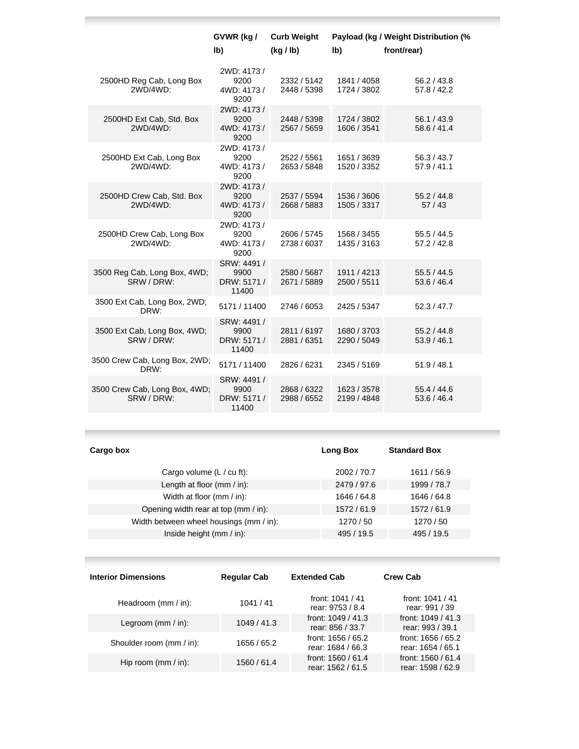|                                             | GVWR (kg /                                  | <b>Curb Weight</b>         |                            | Payload (kg / Weight Distribution (% |
|---------------------------------------------|---------------------------------------------|----------------------------|----------------------------|--------------------------------------|
|                                             | lb)                                         | (kg / lb)                  | lb)                        | front/rear)                          |
| 2500HD Reg Cab, Long Box<br>2WD/4WD:        | 2WD: 4173/<br>9200<br>4WD: 4173 /<br>9200   | 2332 / 5142<br>2448 / 5398 | 1841 / 4058<br>1724 / 3802 | 56.2 / 43.8<br>57.8 / 42.2           |
| 2500HD Ext Cab, Std. Box<br>2WD/4WD:        | 2WD: 4173/<br>9200<br>4WD: 4173/<br>9200    | 2448 / 5398<br>2567 / 5659 | 1724 / 3802<br>1606 / 3541 | 56.1/43.9<br>58.6 / 41.4             |
| 2500HD Ext Cab, Long Box<br>2WD/4WD:        | 2WD: 4173 /<br>9200<br>4WD: 4173 /<br>9200  | 2522 / 5561<br>2653 / 5848 | 1651 / 3639<br>1520 / 3352 | 56.3 / 43.7<br>57.9 / 41.1           |
| 2500HD Crew Cab, Std. Box<br>2WD/4WD:       | 2WD: 4173 /<br>9200<br>4WD: 4173 /<br>9200  | 2537 / 5594<br>2668 / 5883 | 1536 / 3606<br>1505 / 3317 | 55.2 / 44.8<br>57/43                 |
| 2500HD Crew Cab, Long Box<br>2WD/4WD:       | 2WD: 4173 /<br>9200<br>4WD: 4173 /<br>9200  | 2606 / 5745<br>2738 / 6037 | 1568 / 3455<br>1435 / 3163 | 55.5 / 44.5<br>57.2 / 42.8           |
| 3500 Reg Cab, Long Box, 4WD;<br>SRW / DRW:  | SRW: 4491 /<br>9900<br>DRW: 5171 /<br>11400 | 2580 / 5687<br>2671 / 5889 | 1911 / 4213<br>2500 / 5511 | 55.5 / 44.5<br>53.6 / 46.4           |
| 3500 Ext Cab, Long Box, 2WD;<br>DRW:        | 5171 / 11400                                | 2746 / 6053                | 2425 / 5347                | 52.3 / 47.7                          |
| 3500 Ext Cab, Long Box, 4WD;<br>SRW / DRW:  | SRW: 4491 /<br>9900<br>DRW: 5171 /<br>11400 | 2811/6197<br>2881 / 6351   | 1680 / 3703<br>2290 / 5049 | 55.2 / 44.8<br>53.9 / 46.1           |
| 3500 Crew Cab, Long Box, 2WD;<br>DRW:       | 5171 / 11400                                | 2826 / 6231                | 2345 / 5169                | 51.9 / 48.1                          |
| 3500 Crew Cab, Long Box, 4WD;<br>SRW / DRW: | SRW: 4491 /<br>9900<br>DRW: 5171 /<br>11400 | 2868 / 6322<br>2988 / 6552 | 1623 / 3578<br>2199 / 4848 | 55.4/44.6<br>53.6 / 46.4             |

**Contract Contract Contract** 

| Cargo box                               | Long Box    | <b>Standard Box</b> |
|-----------------------------------------|-------------|---------------------|
| Cargo volume $(L / cu$ ft):             | 2002 / 70.7 | 1611 / 56.9         |
| Length at floor (mm / in):              | 2479 / 97.6 | 1999 / 78.7         |
| Width at floor (mm / in):               | 1646 / 64.8 | 1646 / 64.8         |
| Opening width rear at top (mm / in):    | 1572/61.9   | 1572/61.9           |
| Width between wheel housings (mm / in): | 1270 / 50   | 1270/50             |
| Inside height $(mm / in)$ :             | 495 / 19.5  | 495 / 19.5          |
|                                         |             |                     |

| <b>Interior Dimensions</b> | <b>Regular Cab</b> | <b>Extended Cab</b>                       | <b>Crew Cab</b>                          |
|----------------------------|--------------------|-------------------------------------------|------------------------------------------|
| Headroom $(mm / in)$ :     | 1041/41            | front: $1041 / 41$<br>rear: 9753 / 8.4    | front: $1041 / 41$<br>rear: 991 / 39     |
| Legroom $(mm / in)$ :      | 1049/41.3          | front: $1049 / 41.3$<br>rear: 856 / 33.7  | front: $1049 / 41.3$<br>rear: 993 / 39.1 |
| Shoulder room (mm / in):   | 1656 / 65.2        | front: 1656 / 65.2<br>rear: 1684 / 66.3   | front: 1656 / 65.2<br>rear: 1654 / 65.1  |
| Hip room $(mm / in)$ :     | 1560 / 61.4        | front: $1560 / 61.4$<br>rear: 1562 / 61.5 | front: 1560 / 61.4<br>rear: 1598 / 62.9  |